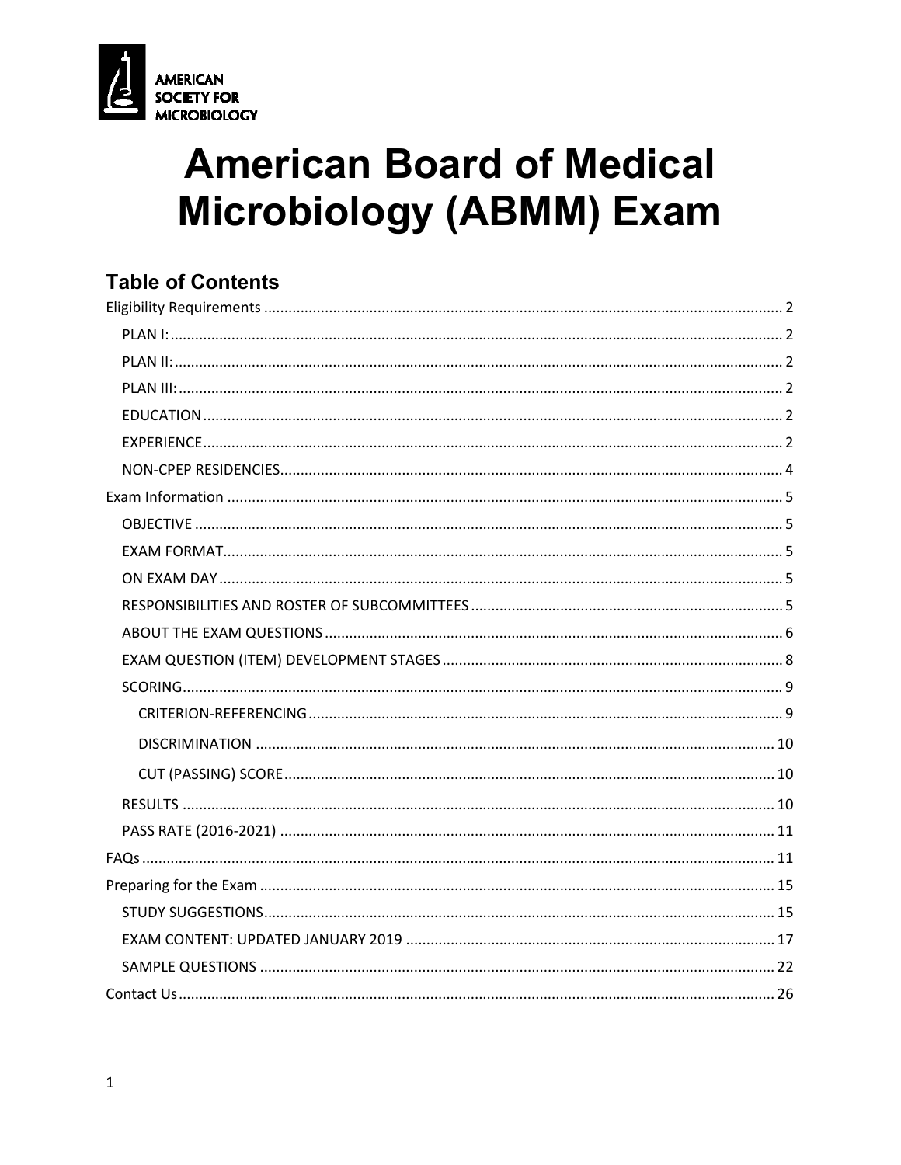

# **American Board of Medical Microbiology (ABMM) Exam**

## **Table of Contents**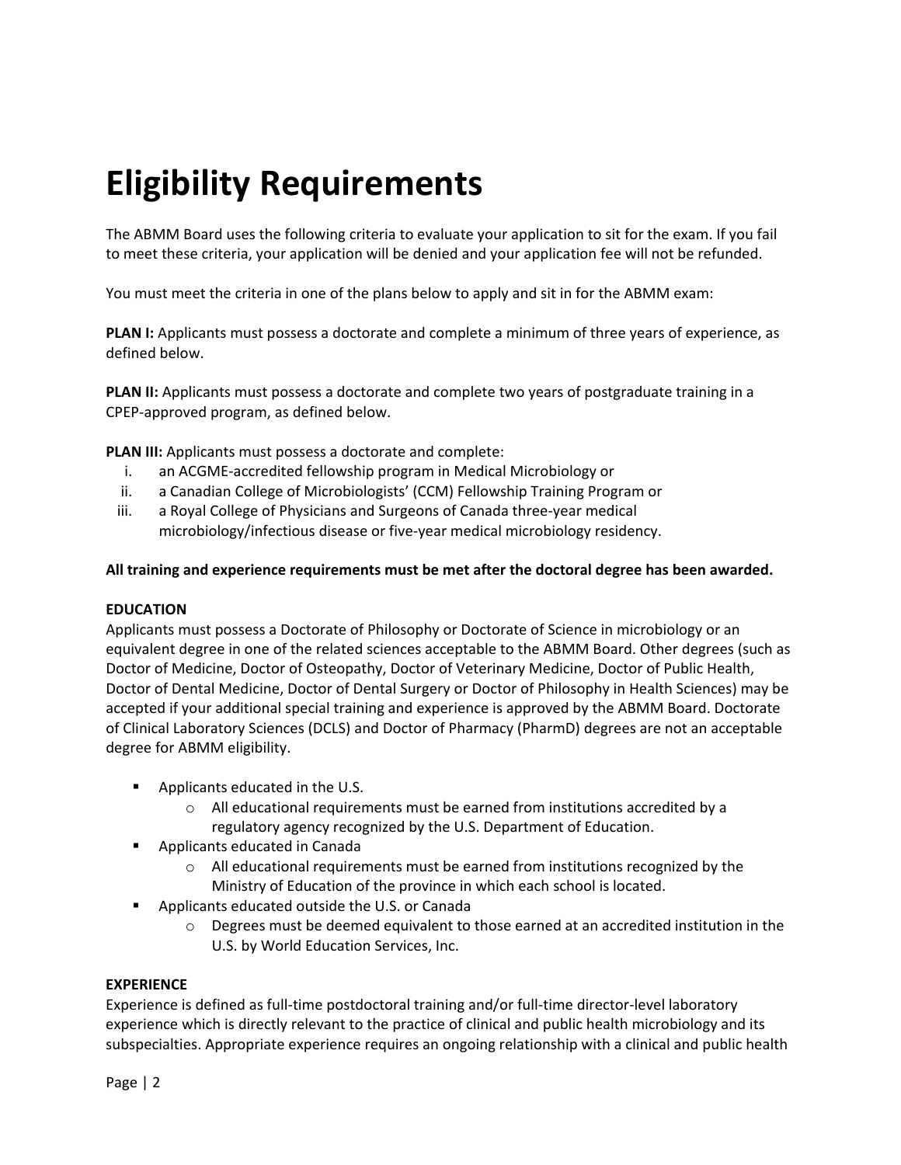# **Eligibility Requirements**

The ABMM Board uses the following criteria to evaluate your application to sit for the exam. If you fail to meet these criteria, your application will be denied and your application fee will not be refunded.

You must meet the criteria in one of the plans below to apply and sit in for the ABMM exam:

**PLAN I:** Applicants must possess a doctorate and complete a minimum of three years of experience, as defined below.

**PLAN II:** Applicants must possess a doctorate and complete two years of postgraduate training in a CPEP-approved program, as defined below.

**PLAN III:** Applicants must possess a doctorate and complete:

- i. an ACGME-accredited fellowship program in Medical Microbiology or
- ii. a Canadian College of Microbiologists' (CCM) Fellowship Training Program or
- iii. a Royal College of Physicians and Surgeons of Canada three-year medical microbiology/infectious disease or five-year medical microbiology residency.

#### **All training and experience requirements must be met after the doctoral degree has been awarded.**

#### **EDUCATION**

Applicants must possess a Doctorate of Philosophy or Doctorate of Science in microbiology or an equivalent degree in one of the related sciences acceptable to the ABMM Board. Other degrees (such as Doctor of Medicine, Doctor of Osteopathy, Doctor of Veterinary Medicine, Doctor of Public Health, Doctor of Dental Medicine, Doctor of Dental Surgery or Doctor of Philosophy in Health Sciences) may be accepted if your additional special training and experience is approved by the ABMM Board. Doctorate of Clinical Laboratory Sciences (DCLS) and Doctor of Pharmacy (PharmD) degrees are not an acceptable degree for ABMM eligibility.

- **Applicants educated in the U.S.** 
	- o All educational requirements must be earned from institutions accredited by a regulatory agency recognized by the U.S. Department of Education.
- **EXECUTE:** Applicants educated in Canada
	- o All educational requirements must be earned from institutions recognized by the Ministry of Education of the province in which each school is located.
- Applicants educated outside the U.S. or Canada
	- $\circ$  Degrees must be deemed equivalent to those earned at an accredited institution in the U.S. by World Education Services, Inc.

#### **EXPERIENCE**

Experience is defined as full-time postdoctoral training and/or full-time director-level laboratory experience which is directly relevant to the practice of clinical and public health microbiology and its subspecialties. Appropriate experience requires an ongoing relationship with a clinical and public health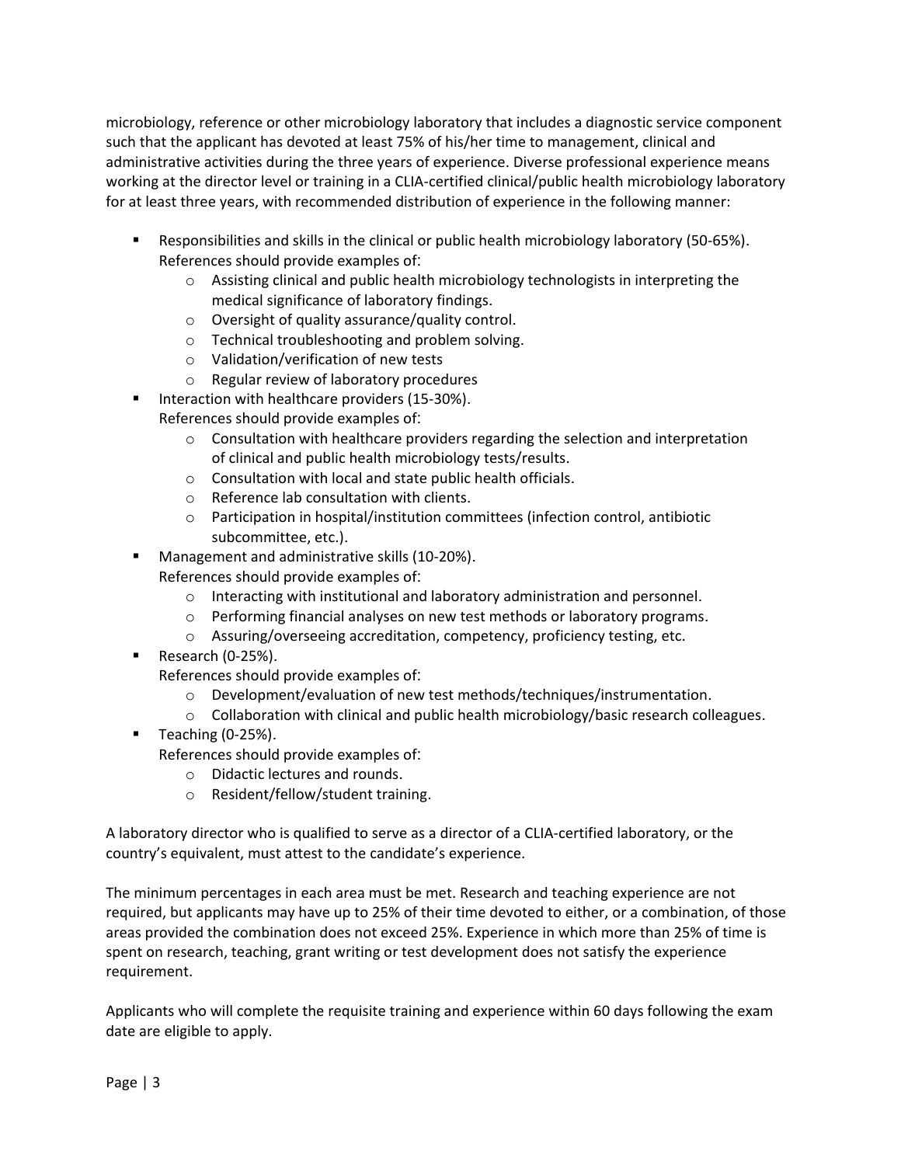microbiology, reference or other microbiology laboratory that includes a diagnostic service component such that the applicant has devoted at least 75% of his/her time to management, clinical and administrative activities during the three years of experience. Diverse professional experience means working at the director level or training in a CLIA-certified clinical/public health microbiology laboratory for at least three years, with recommended distribution of experience in the following manner:

- Responsibilities and skills in the clinical or public health microbiology laboratory (50-65%). References should provide examples of:
	- o Assisting clinical and public health microbiology technologists in interpreting the medical significance of laboratory findings.
	- o Oversight of quality assurance/quality control.
	- o Technical troubleshooting and problem solving.
	- o Validation/verification of new tests
	- o Regular review of laboratory procedures
	- Interaction with healthcare providers (15-30%).

References should provide examples of:

- $\circ$  Consultation with healthcare providers regarding the selection and interpretation of clinical and public health microbiology tests/results.
- o Consultation with local and state public health officials.
- o Reference lab consultation with clients.
- o Participation in hospital/institution committees (infection control, antibiotic subcommittee, etc.).
- **Management and administrative skills (10-20%).** 
	- References should provide examples of:
		- o Interacting with institutional and laboratory administration and personnel.
		- o Performing financial analyses on new test methods or laboratory programs.
		- o Assuring/overseeing accreditation, competency, proficiency testing, etc.
- $\blacksquare$  Research (0-25%).
	- References should provide examples of:
		- o Development/evaluation of new test methods/techniques/instrumentation.
		- $\circ$  Collaboration with clinical and public health microbiology/basic research colleagues.
- Teaching  $(0-25%)$ .

References should provide examples of:

- o Didactic lectures and rounds.
- o Resident/fellow/student training.

A laboratory director who is qualified to serve as a director of a CLIA-certified laboratory, or the country's equivalent, must attest to the candidate's experience.

The minimum percentages in each area must be met. Research and teaching experience are not required, but applicants may have up to 25% of their time devoted to either, or a combination, of those areas provided the combination does not exceed 25%. Experience in which more than 25% of time is spent on research, teaching, grant writing or test development does not satisfy the experience requirement.

Applicants who will complete the requisite training and experience within 60 days following the exam date are eligible to apply.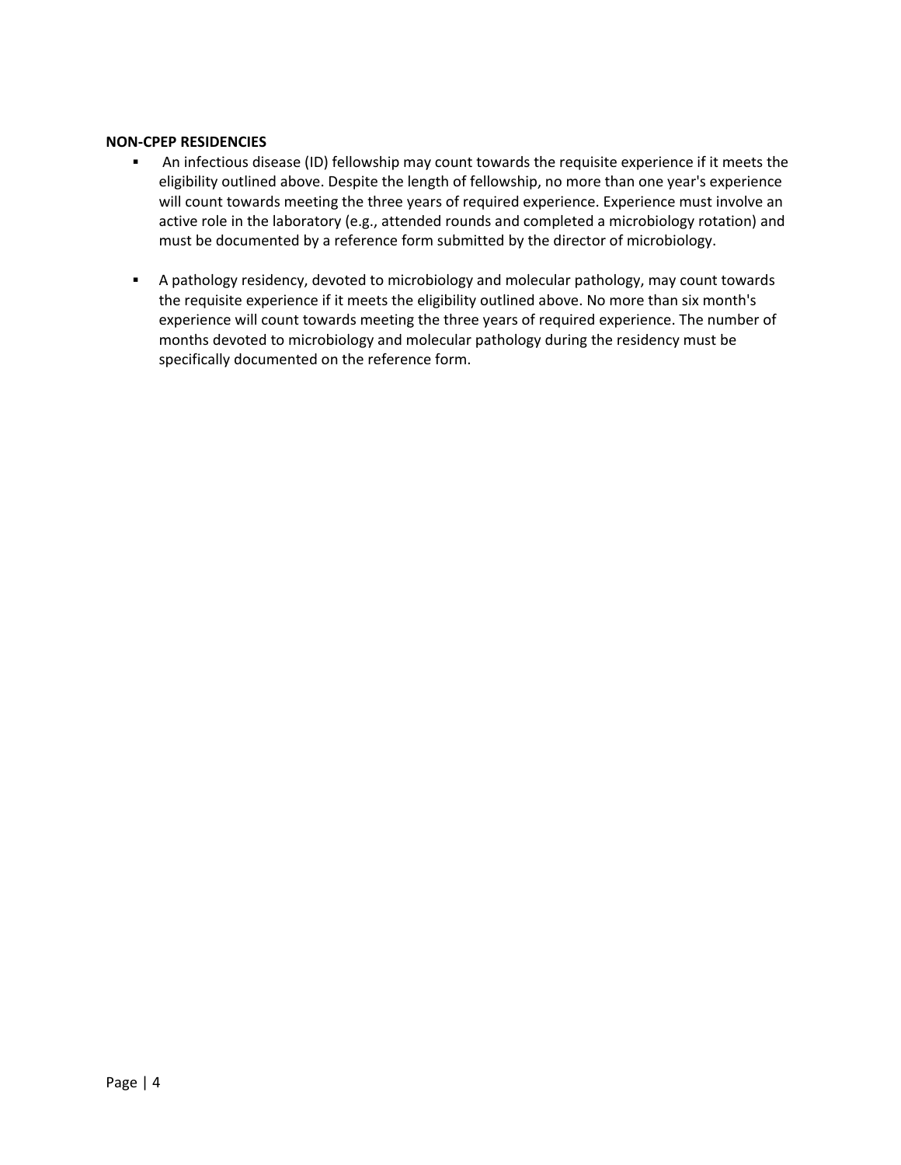#### **NON-CPEP RESIDENCIES**

- An infectious disease (ID) fellowship may count towards the requisite experience if it meets the eligibility outlined above. Despite the length of fellowship, no more than one year's experience will count towards meeting the three years of required experience. Experience must involve an active role in the laboratory (e.g., attended rounds and completed a microbiology rotation) and must be documented by a reference form submitted by the director of microbiology.
- A pathology residency, devoted to microbiology and molecular pathology, may count towards the requisite experience if it meets the eligibility outlined above. No more than six month's experience will count towards meeting the three years of required experience. The number of months devoted to microbiology and molecular pathology during the residency must be specifically documented on the reference form.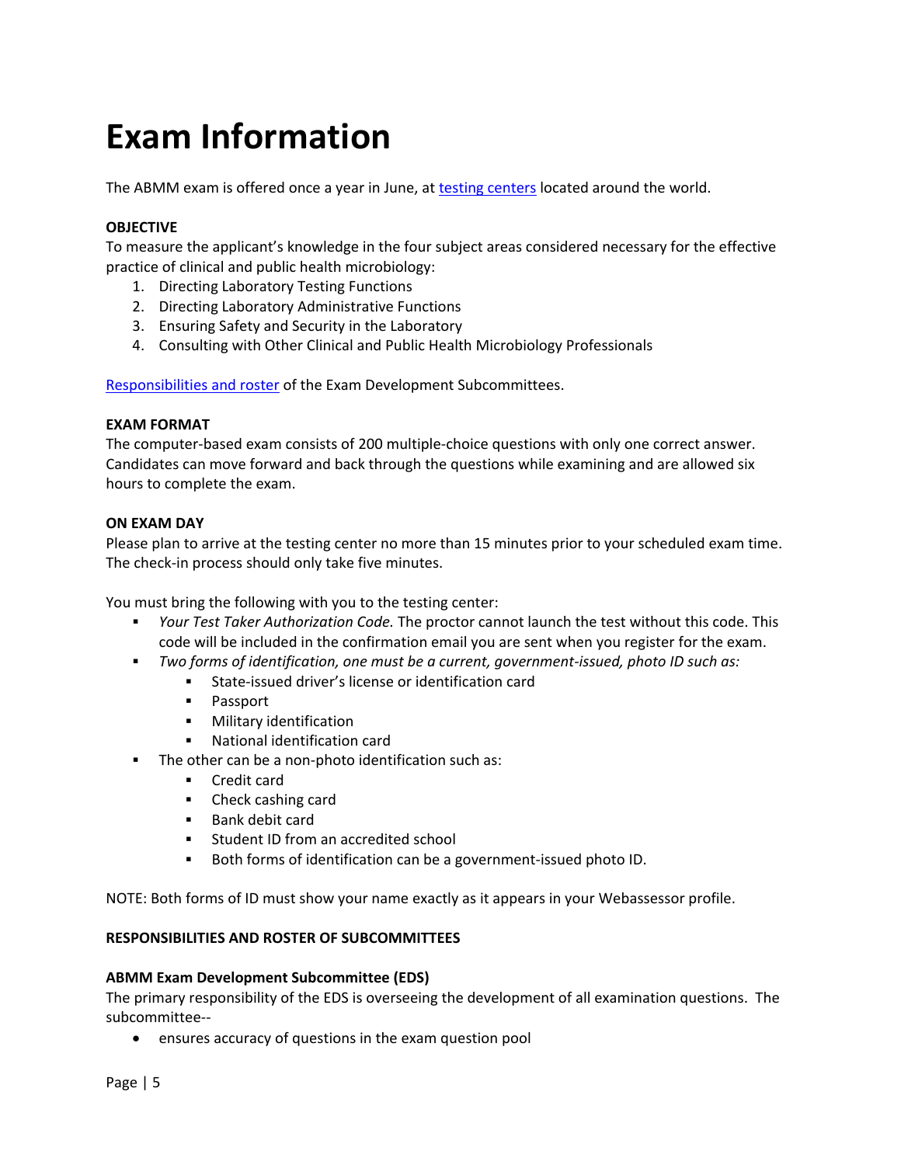## **Exam Information**

The ABMM exam is offered once a year in June, at [testing centers](http://www.kryteriononline.com/Locate-Test-Center) located around the world.

#### **OBJECTIVE**

To measure the applicant's knowledge in the four subject areas considered necessary for the effective practice of clinical and public health microbiology:

- 1. Directing Laboratory Testing Functions
- 2. Directing Laboratory Administrative Functions
- 3. Ensuring Safety and Security in the Laboratory
- 4. Consulting with Other Clinical and Public Health Microbiology Professionals

Responsibilities and roster of the Exam Development Subcommittees.

#### **EXAM FORMAT**

The computer-based exam consists of 200 multiple-choice questions with only one correct answer. Candidates can move forward and back through the questions while examining and are allowed six hours to complete the exam.

#### **ON EXAM DAY**

Please plan to arrive at the testing center no more than 15 minutes prior to your scheduled exam time. The check-in process should only take five minutes.

You must bring the following with you to the testing center:

- *Your Test Taker Authorization Code.* The proctor cannot launch the test without this code. This code will be included in the confirmation email you are sent when you register for the exam.
- *Two forms of identification, one must be a current, government-issued, photo ID such as:*
	- State-issued driver's license or identification card
	- **Passport**
	- **•** Military identification
	- National identification card
- The other can be a non-photo identification such as:
	- **Credit card**
	- Check cashing card
	- **Bank debit card**
	- Student ID from an accredited school
	- Both forms of identification can be a government-issued photo ID.

NOTE: Both forms of ID must show your name exactly as it appears in your Webassessor profile.

#### **RESPONSIBILITIES AND ROSTER OF SUBCOMMITTEES**

#### **ABMM Exam Development Subcommittee (EDS)**

The primary responsibility of the EDS is overseeing the development of all examination questions. The subcommittee--

• ensures accuracy of questions in the exam question pool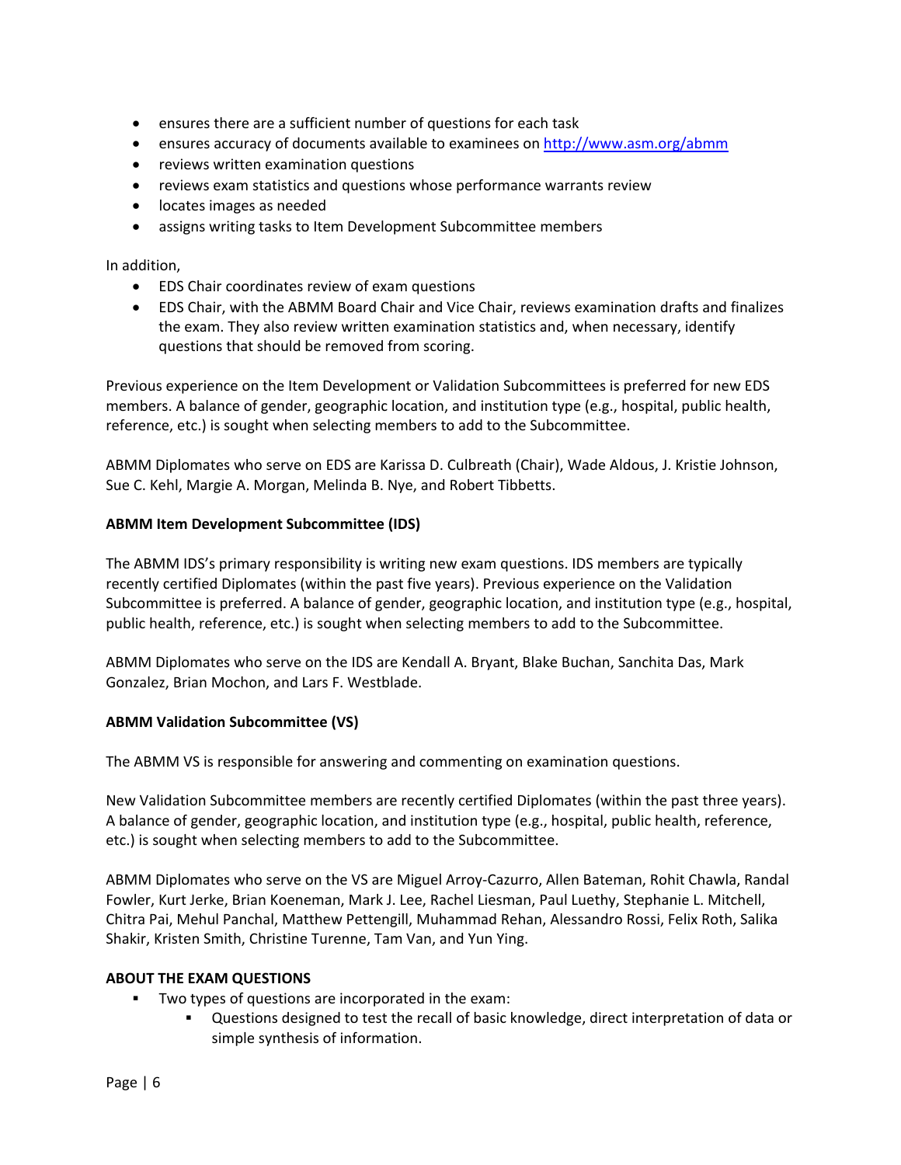- ensures there are a sufficient number of questions for each task
- ensures accuracy of documents available to examinees o[n http://www.asm.org/abmm](http://www.asm.org/abmm)
- reviews written examination questions
- reviews exam statistics and questions whose performance warrants review
- locates images as needed
- assigns writing tasks to Item Development Subcommittee members

In addition,

- EDS Chair coordinates review of exam questions
- EDS Chair, with the ABMM Board Chair and Vice Chair, reviews examination drafts and finalizes the exam. They also review written examination statistics and, when necessary, identify questions that should be removed from scoring.

Previous experience on the Item Development or Validation Subcommittees is preferred for new EDS members. A balance of gender, geographic location, and institution type (e.g., hospital, public health, reference, etc.) is sought when selecting members to add to the Subcommittee.

ABMM Diplomates who serve on EDS are Karissa D. Culbreath (Chair), Wade Aldous, J. Kristie Johnson, Sue C. Kehl, Margie A. Morgan, Melinda B. Nye, and Robert Tibbetts.

#### **ABMM Item Development Subcommittee (IDS)**

The ABMM IDS's primary responsibility is writing new exam questions. IDS members are typically recently certified Diplomates (within the past five years). Previous experience on the Validation Subcommittee is preferred. A balance of gender, geographic location, and institution type (e.g., hospital, public health, reference, etc.) is sought when selecting members to add to the Subcommittee.

ABMM Diplomates who serve on the IDS are Kendall A. Bryant, Blake Buchan, Sanchita Das, Mark Gonzalez, Brian Mochon, and Lars F. Westblade.

#### **ABMM Validation Subcommittee (VS)**

The ABMM VS is responsible for answering and commenting on examination questions.

New Validation Subcommittee members are recently certified Diplomates (within the past three years). A balance of gender, geographic location, and institution type (e.g., hospital, public health, reference, etc.) is sought when selecting members to add to the Subcommittee.

ABMM Diplomates who serve on the VS are Miguel Arroy-Cazurro, Allen Bateman, Rohit Chawla, Randal Fowler, Kurt Jerke, Brian Koeneman, Mark J. Lee, Rachel Liesman, Paul Luethy, Stephanie L. Mitchell, Chitra Pai, Mehul Panchal, Matthew Pettengill, Muhammad Rehan, Alessandro Rossi, Felix Roth, Salika Shakir, Kristen Smith, Christine Turenne, Tam Van, and Yun Ying.

#### **ABOUT THE EXAM QUESTIONS**

- Two types of questions are incorporated in the exam:
	- Questions designed to test the recall of basic knowledge, direct interpretation of data or simple synthesis of information.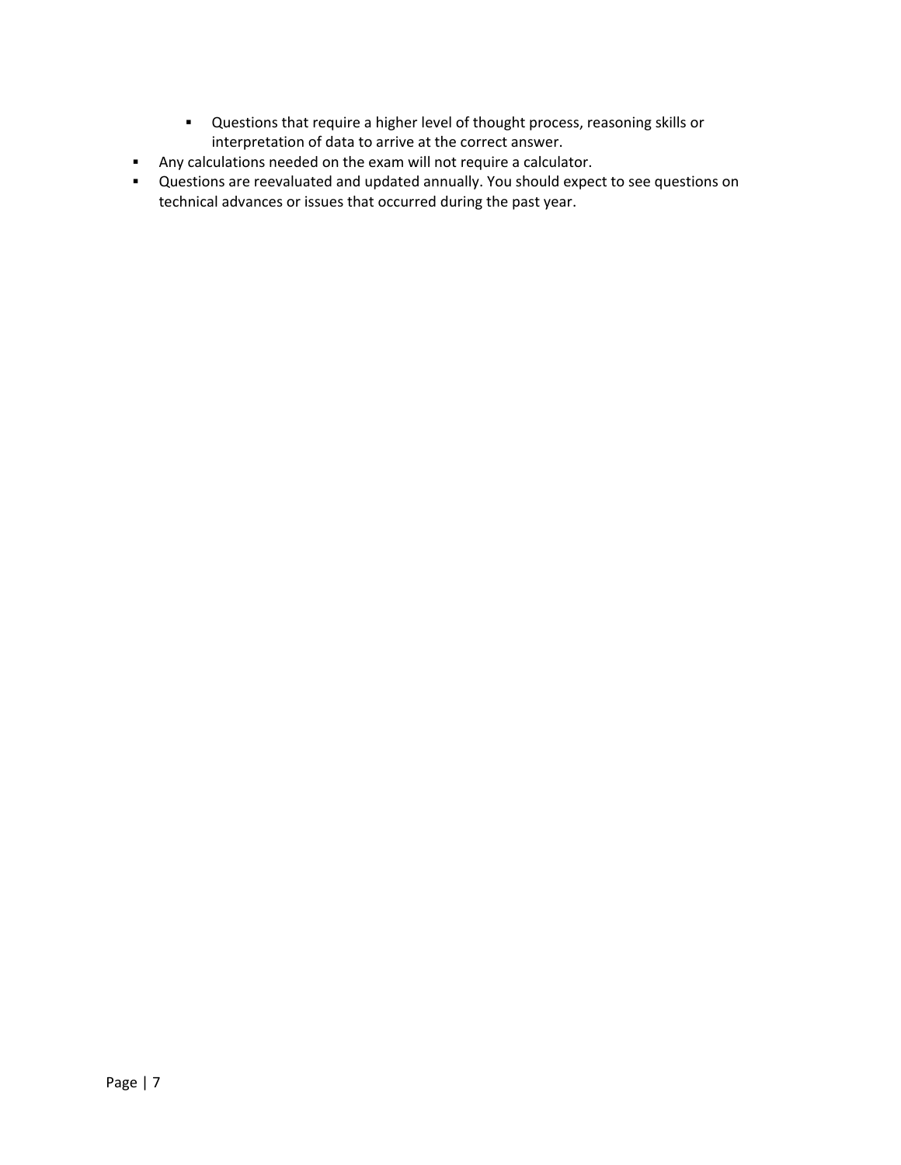- Questions that require a higher level of thought process, reasoning skills or interpretation of data to arrive at the correct answer.
- Any calculations needed on the exam will not require a calculator.
- Questions are reevaluated and updated annually. You should expect to see questions on technical advances or issues that occurred during the past year.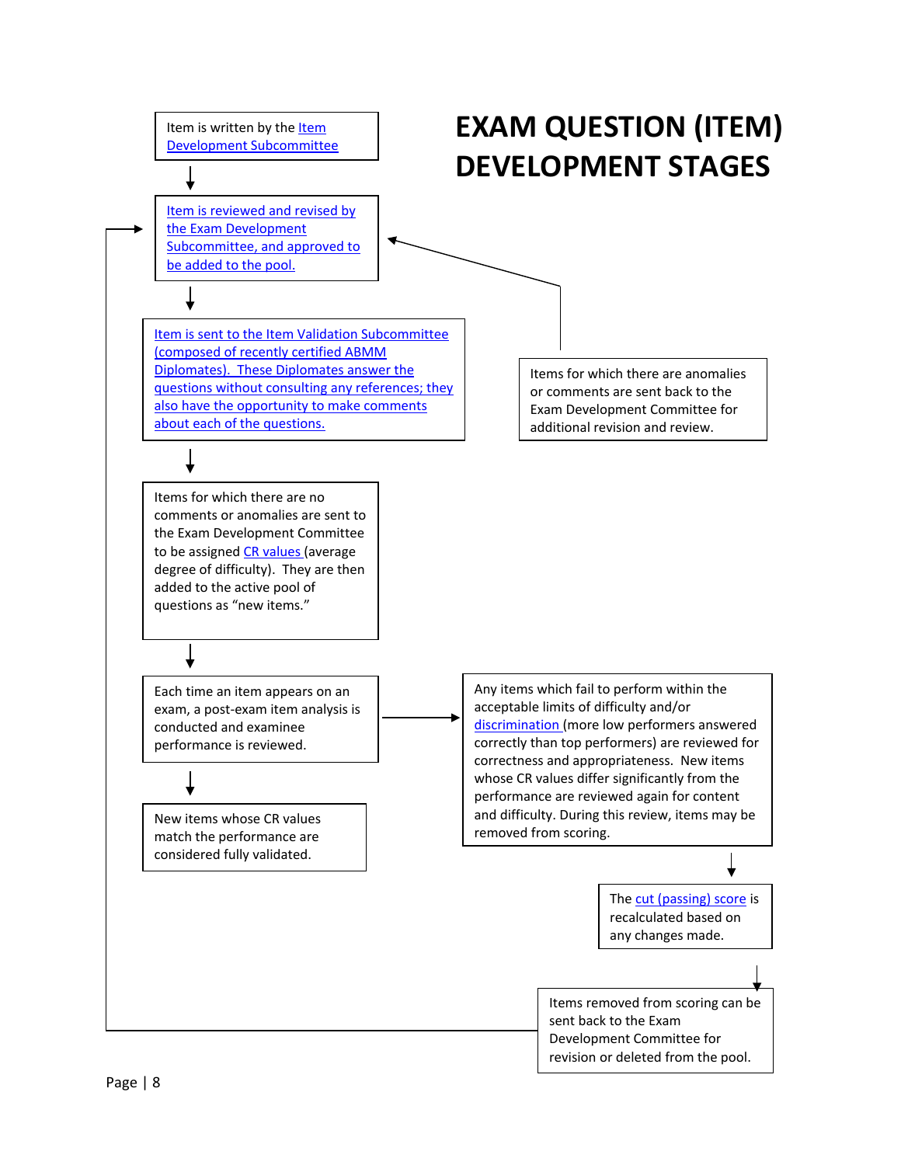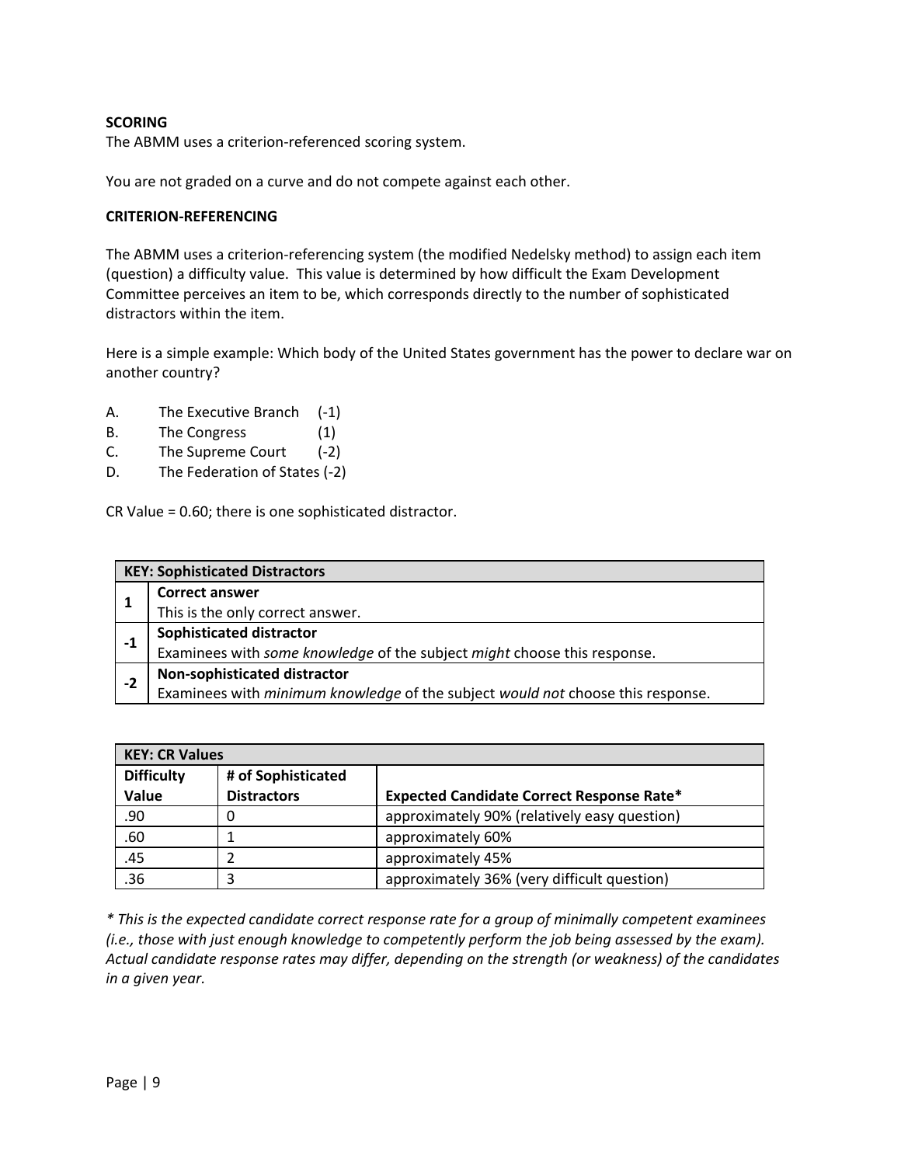#### **SCORING**

The ABMM uses a criterion-referenced scoring system.

You are not graded on a curve and do not compete against each other.

#### **CRITERION-REFERENCING**

The ABMM uses a criterion-referencing system (the modified Nedelsky method) to assign each item (question) a difficulty value. This value is determined by how difficult the Exam Development Committee perceives an item to be, which corresponds directly to the number of sophisticated distractors within the item.

Here is a simple example: Which body of the United States government has the power to declare war on another country?

- A. The Executive Branch (-1)
- B. The Congress (1)
- C. The Supreme Court (-2)
- D. The Federation of States (-2)

CR Value = 0.60; there is one sophisticated distractor.

|      | <b>KEY: Sophisticated Distractors</b>                                           |
|------|---------------------------------------------------------------------------------|
|      | <b>Correct answer</b>                                                           |
|      | This is the only correct answer.                                                |
| $-1$ | Sophisticated distractor                                                        |
|      | Examinees with some knowledge of the subject might choose this response.        |
| $-2$ | Non-sophisticated distractor                                                    |
|      | Examinees with minimum knowledge of the subject would not choose this response. |

| <b>KEY: CR Values</b> |                    |                                                  |  |  |
|-----------------------|--------------------|--------------------------------------------------|--|--|
| <b>Difficulty</b>     | # of Sophisticated |                                                  |  |  |
| Value                 | <b>Distractors</b> | <b>Expected Candidate Correct Response Rate*</b> |  |  |
| .90                   | O                  | approximately 90% (relatively easy question)     |  |  |
| .60                   |                    | approximately 60%                                |  |  |
| .45                   |                    | approximately 45%                                |  |  |
| .36                   |                    | approximately 36% (very difficult question)      |  |  |

*\* This is the expected candidate correct response rate for a group of minimally competent examinees (i.e., those with just enough knowledge to competently perform the job being assessed by the exam). Actual candidate response rates may differ, depending on the strength (or weakness) of the candidates in a given year.*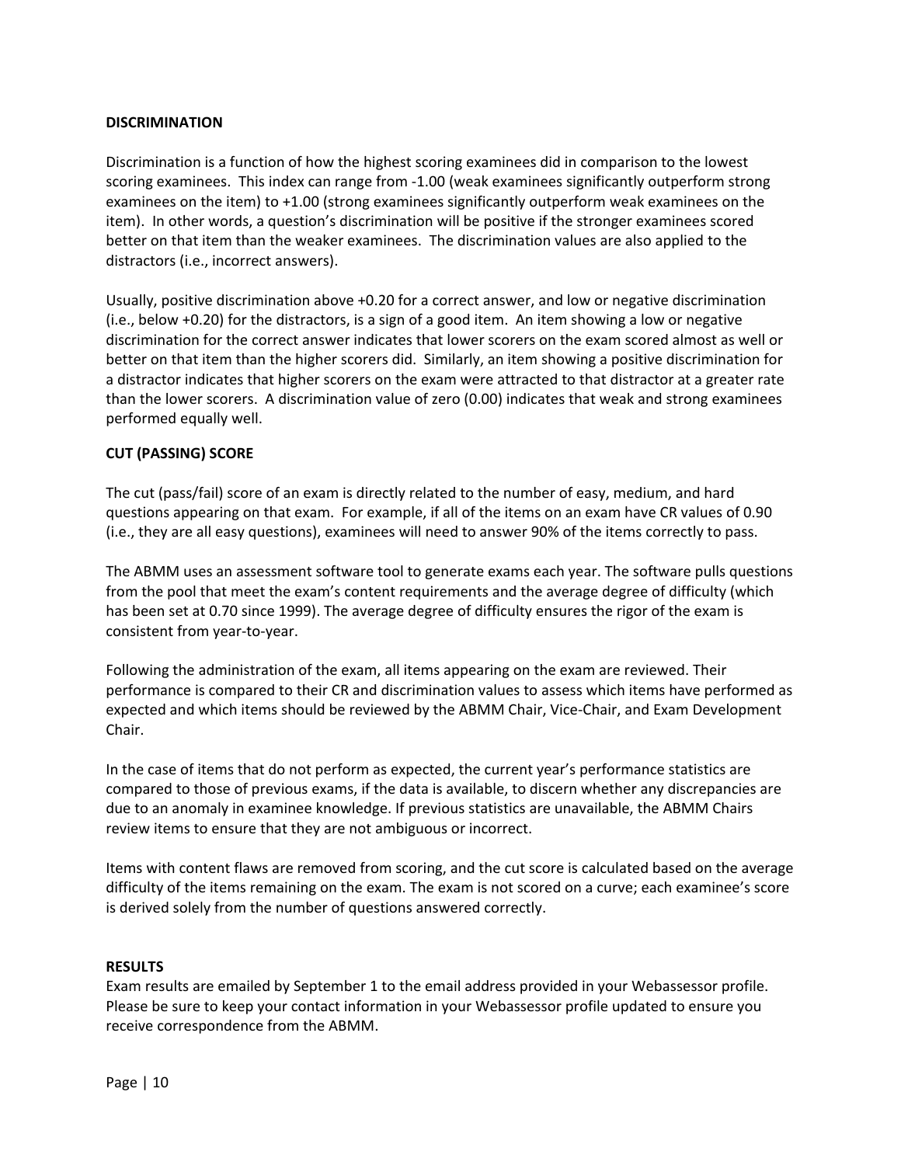#### **DISCRIMINATION**

Discrimination is a function of how the highest scoring examinees did in comparison to the lowest scoring examinees. This index can range from -1.00 (weak examinees significantly outperform strong examinees on the item) to +1.00 (strong examinees significantly outperform weak examinees on the item). In other words, a question's discrimination will be positive if the stronger examinees scored better on that item than the weaker examinees. The discrimination values are also applied to the distractors (i.e., incorrect answers).

Usually, positive discrimination above +0.20 for a correct answer, and low or negative discrimination (i.e., below +0.20) for the distractors, is a sign of a good item. An item showing a low or negative discrimination for the correct answer indicates that lower scorers on the exam scored almost as well or better on that item than the higher scorers did. Similarly, an item showing a positive discrimination for a distractor indicates that higher scorers on the exam were attracted to that distractor at a greater rate than the lower scorers. A discrimination value of zero (0.00) indicates that weak and strong examinees performed equally well.

#### **CUT (PASSING) SCORE**

The cut (pass/fail) score of an exam is directly related to the number of easy, medium, and hard questions appearing on that exam. For example, if all of the items on an exam have CR values of 0.90 (i.e., they are all easy questions), examinees will need to answer 90% of the items correctly to pass.

The ABMM uses an assessment software tool to generate exams each year. The software pulls questions from the pool that meet the exam's content requirements and the average degree of difficulty (which has been set at 0.70 since 1999). The average degree of difficulty ensures the rigor of the exam is consistent from year-to-year.

Following the administration of the exam, all items appearing on the exam are reviewed. Their performance is compared to their CR and discrimination values to assess which items have performed as expected and which items should be reviewed by the ABMM Chair, Vice-Chair, and Exam Development Chair.

In the case of items that do not perform as expected, the current year's performance statistics are compared to those of previous exams, if the data is available, to discern whether any discrepancies are due to an anomaly in examinee knowledge. If previous statistics are unavailable, the ABMM Chairs review items to ensure that they are not ambiguous or incorrect.

Items with content flaws are removed from scoring, and the cut score is calculated based on the average difficulty of the items remaining on the exam. The exam is not scored on a curve; each examinee's score is derived solely from the number of questions answered correctly.

#### **RESULTS**

Exam results are emailed by September 1 to the email address provided in your Webassessor profile. Please be sure to keep your contact information in your Webassessor profile updated to ensure you receive correspondence from the ABMM.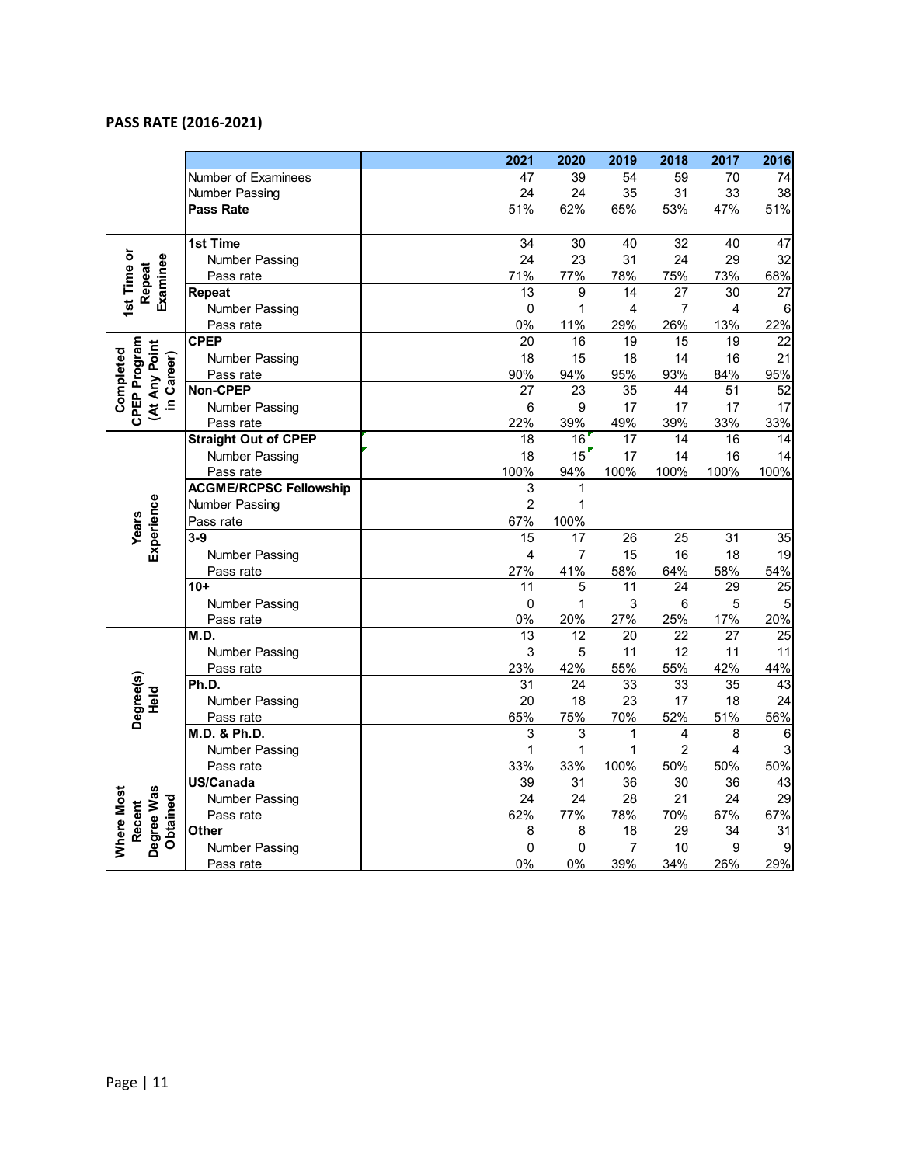#### **PASS RATE (2016 -2021 )**

|                                                          |                               | 2021            | 2020            | 2019        | 2018                    | 2017            | 2016            |
|----------------------------------------------------------|-------------------------------|-----------------|-----------------|-------------|-------------------------|-----------------|-----------------|
|                                                          | Number of Examinees           | 47              | 39              | 54          | 59                      | 70              | 74              |
|                                                          | Number Passing                | 24              | 24              | 35          | 31                      | 33              | 38              |
|                                                          | <b>Pass Rate</b>              | 51%             | 62%             | 65%         | 53%                     | 47%             | 51%             |
|                                                          |                               |                 |                 |             |                         |                 |                 |
|                                                          | 1st Time                      | 34              | 30              | 40          | 32                      | 40              | 47              |
|                                                          | <b>Number Passing</b>         | 24              | 23              | 31          | 24                      | 29              | 32              |
|                                                          | Pass rate                     | 71%             | 77%             | 78%         | 75%                     | 73%             | 68%             |
| 1st Time or<br>Examinee<br>Repeat                        | Repeat                        | 13              | 9               | 14          | 27                      | 30              | 27              |
|                                                          | Number Passing                | $\mathbf 0$     | 1               | 4           | $\overline{7}$          | 4               | 6               |
|                                                          | Pass rate                     | 0%              | 11%             | 29%         | 26%                     | 13%             | 22%             |
|                                                          | <b>CPEP</b>                   | 20              | 16              | 19          | 15                      | 19              | 22              |
|                                                          | Number Passing                | 18              | 15              | 18          | 14                      | 16              | 21              |
|                                                          | Pass rate                     | 90%             | 94%             | 95%         | 93%                     | 84%             | 95%             |
| CPEP Program<br>(At Any Point<br>Completed<br>in Career) | Non-CPEP                      | 27              | 23              | 35          | 44                      | 51              | 52              |
|                                                          | <b>Number Passing</b>         | $\,6$           | 9               | 17          | 17                      | 17              | 17              |
|                                                          | Pass rate                     | 22%             | 39%             | 49%         | 39%                     | 33%             | 33%             |
|                                                          | <b>Straight Out of CPEP</b>   | $\overline{18}$ | 16              | 17          | 14                      | 16              | 14              |
|                                                          | <b>Number Passing</b>         | 18              | 15              | 17          | 14                      | 16              | 14              |
|                                                          | Pass rate                     | 100%            | 94%             | 100%        | 100%                    | 100%            | 100%            |
|                                                          | <b>ACGME/RCPSC Fellowship</b> | 3               | 1               |             |                         |                 |                 |
|                                                          | <b>Number Passing</b>         | $\overline{2}$  | 1               |             |                         |                 |                 |
| Years                                                    | Pass rate                     | 67%             | 100%            |             |                         |                 |                 |
| Experience                                               | $3-9$                         | 15              | 17              | 26          | 25                      | 31              | 35              |
|                                                          | Number Passing                | 4               | $\overline{7}$  | 15          | 16                      | 18              | 19              |
|                                                          | Pass rate                     | 27%             | 41%             | 58%         | 64%                     | 58%             | 54%             |
|                                                          | $10+$                         | 11              | 5               | 11          | 24                      | 29              | $\overline{25}$ |
|                                                          | <b>Number Passing</b>         | $\mathbf 0$     | 1               | 3           | 6                       | 5               | 5               |
|                                                          | Pass rate                     | 0%              | 20%             | 27%         | 25%                     | 17%             | 20%             |
|                                                          | M.D.                          | $\overline{13}$ | 12              | 20          | $\overline{22}$         | 27              | $\overline{25}$ |
|                                                          | Number Passing                | $\mathsf 3$     | 5               | 11          | 12                      | 11              | 11              |
|                                                          | Pass rate                     | 23%             | 42%             | 55%         | 55%                     | 42%             | 44%             |
| Degree(s)                                                | Ph.D.                         | $\overline{31}$ | 24              | 33          | 33                      | $\overline{35}$ | $\overline{43}$ |
| Held                                                     | <b>Number Passing</b>         | 20              | 18              | 23          | 17                      | 18              | 24              |
|                                                          | Pass rate                     | 65%             | 75%             | 70%         | 52%                     | 51%             | 56%             |
|                                                          | M.D. & Ph.D.                  | 3               | 3               | $\mathbf 1$ | $\overline{\mathbf{4}}$ | 8               | 6               |
|                                                          | <b>Number Passing</b>         | 1               | $\mathbf{1}$    | 1           | $\overline{c}$          | $\overline{4}$  | 3               |
|                                                          | Pass rate                     | 33%             | 33%             | 100%        | 50%                     | 50%             | 50%             |
|                                                          | <b>US/Canada</b>              | 39              | $\overline{31}$ | 36          | 30                      | 36              | 43              |
| Where Most<br>Degree Was<br>Obtained                     | Number Passing                | 24              | 24              | 28          | 21                      | 24              | 29              |
| Recent                                                   | Pass rate                     | 62%             | 77%             | 78%         | 70%                     | 67%             | 67%             |
|                                                          | Other                         | 8               | 8               | 18          | 29                      | 34              | 31              |
|                                                          | <b>Number Passing</b>         | 0               | 0               | 7           | 10                      | 9               |                 |
|                                                          | Pass rate                     | 0%              | 0%              | 39%         | 34%                     | 26%             | 29%             |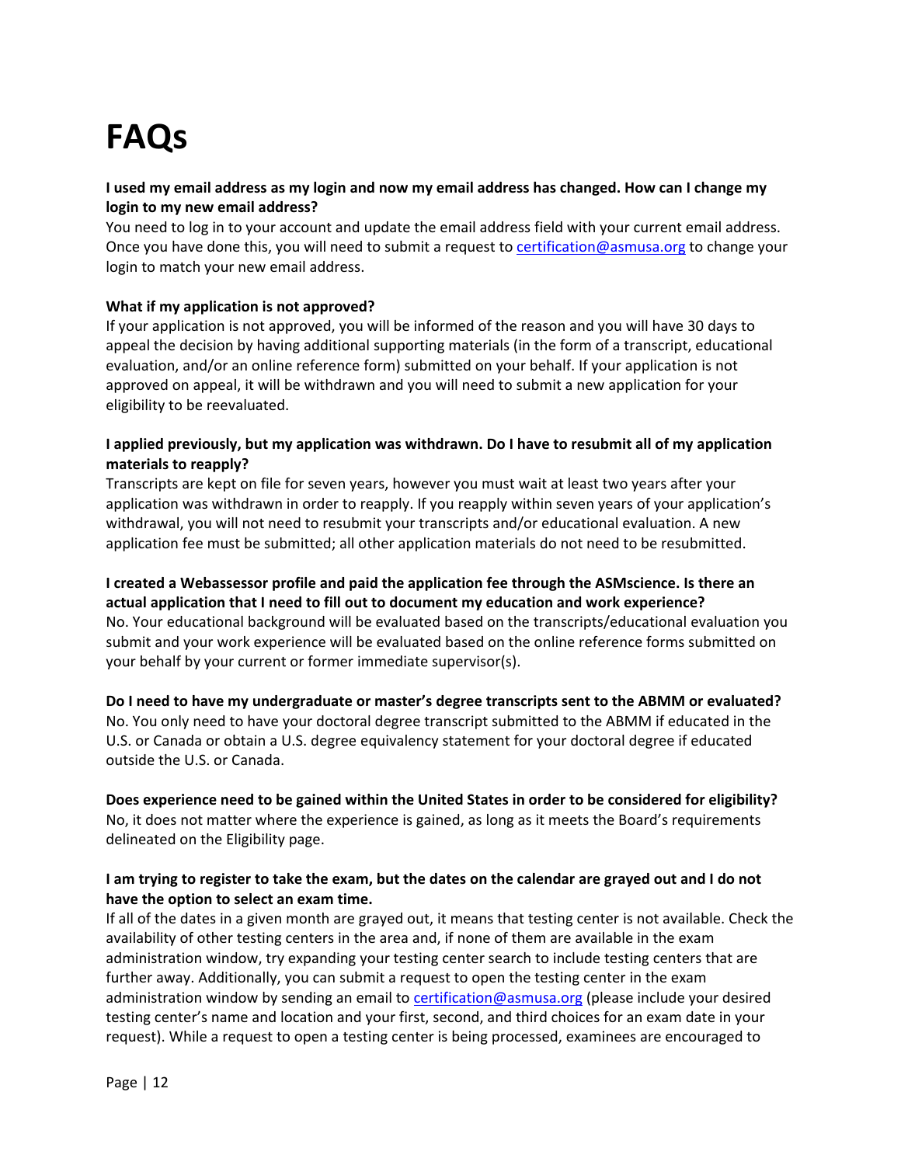# **FAQs**

#### **I used my email address as my login and now my email address has changed. How can I change my login to my new email address?**

You need to log in to your account and update the email address field with your current email address. Once you have done this, you will need to submit a request to [certification@asmusa.org](mailto:certification@asmusa.org) to change your login to match your new email address.

#### **What if my application is not approved?**

If your application is not approved, you will be informed of the reason and you will have 30 days to appeal the decision by having additional supporting materials (in the form of a transcript, educational evaluation, and/or an online reference form) submitted on your behalf. If your application is not approved on appeal, it will be withdrawn and you will need to submit a new application for your eligibility to be reevaluated.

#### **I applied previously, but my application was withdrawn. Do I have to resubmit all of my application materials to reapply?**

Transcripts are kept on file for seven years, however you must wait at least two years after your application was withdrawn in order to reapply. If you reapply within seven years of your application's withdrawal, you will not need to resubmit your transcripts and/or educational evaluation. A new application fee must be submitted; all other application materials do not need to be resubmitted.

**I created a Webassessor profile and paid the application fee through the ASMscience. Is there an actual application that I need to fill out to document my education and work experience?** No. Your educational background will be evaluated based on the transcripts/educational evaluation you submit and your work experience will be evaluated based on the online reference forms submitted on your behalf by your current or former immediate supervisor(s).

**Do I need to have my undergraduate or master's degree transcripts sent to the ABMM or evaluated?** No. You only need to have your doctoral degree transcript submitted to the ABMM if educated in the U.S. or Canada or obtain a U.S. degree equivalency statement for your doctoral degree if educated outside the U.S. or Canada.

**Does experience need to be gained within the United States in order to be considered for eligibility?** No, it does not matter where the experience is gained, as long as it meets the Board's requirements delineated on the Eligibility page.

#### **I am trying to register to take the exam, but the dates on the calendar are grayed out and I do not have the option to select an exam time.**

If all of the dates in a given month are grayed out, it means that testing center is not available. Check the availability of other testing centers in the area and, if none of them are available in the exam administration window, try expanding your testing center search to include testing centers that are further away. Additionally, you can submit a request to open the testing center in the exam administration window by sending an email to [certification@asmusa.org](mailto:certification@asmusa.org) (please include your desired testing center's name and location and your first, second, and third choices for an exam date in your request). While a request to open a testing center is being processed, examinees are encouraged to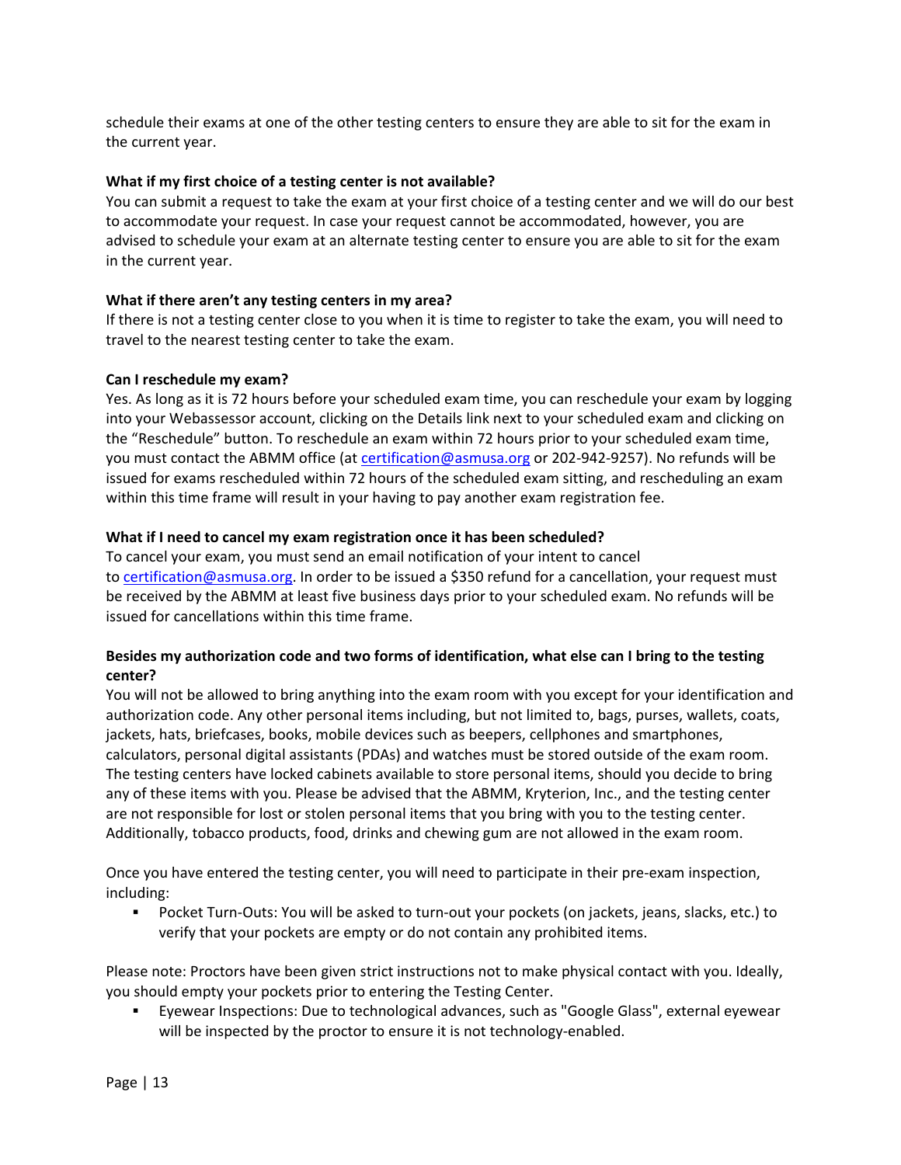schedule their exams at one of the other testing centers to ensure they are able to sit for the exam in the current year.

#### **What if my first choice of a testing center is not available?**

You can submit a request to take the exam at your first choice of a testing center and we will do our best to accommodate your request. In case your request cannot be accommodated, however, you are advised to schedule your exam at an alternate testing center to ensure you are able to sit for the exam in the current year.

#### **What if there aren't any testing centers in my area?**

If there is not a testing center close to you when it is time to register to take the exam, you will need to travel to the nearest testing center to take the exam.

#### **Can I reschedule my exam?**

Yes. As long as it is 72 hours before your scheduled exam time, you can reschedule your exam by logging into your Webassessor account, clicking on the Details link next to your scheduled exam and clicking on the "Reschedule" button. To reschedule an exam within 72 hours prior to your scheduled exam time, you must contact the ABMM office (at [certification@asmusa.org](mailto:certification@asmusa.org) or 202-942-9257). No refunds will be issued for exams rescheduled within 72 hours of the scheduled exam sitting, and rescheduling an exam within this time frame will result in your having to pay another exam registration fee.

#### **What if I need to cancel my exam registration once it has been scheduled?**

To cancel your exam, you must send an email notification of your intent to cancel to [certification@asmusa.org.](mailto:certification@asmusa.org) In order to be issued a \$350 refund for a cancellation, your request must be received by the ABMM at least five business days prior to your scheduled exam. No refunds will be issued for cancellations within this time frame.

#### **Besides my authorization code and two forms of identification, what else can I bring to the testing center?**

You will not be allowed to bring anything into the exam room with you except for your identification and authorization code. Any other personal items including, but not limited to, bags, purses, wallets, coats, jackets, hats, briefcases, books, mobile devices such as beepers, cellphones and smartphones, calculators, personal digital assistants (PDAs) and watches must be stored outside of the exam room. The testing centers have locked cabinets available to store personal items, should you decide to bring any of these items with you. Please be advised that the ABMM, Kryterion, Inc., and the testing center are not responsible for lost or stolen personal items that you bring with you to the testing center. Additionally, tobacco products, food, drinks and chewing gum are not allowed in the exam room.

Once you have entered the testing center, you will need to participate in their pre-exam inspection, including:

 Pocket Turn-Outs: You will be asked to turn-out your pockets (on jackets, jeans, slacks, etc.) to verify that your pockets are empty or do not contain any prohibited items.

Please note: Proctors have been given strict instructions not to make physical contact with you. Ideally, you should empty your pockets prior to entering the Testing Center.

 Eyewear Inspections: Due to technological advances, such as "Google Glass", external eyewear will be inspected by the proctor to ensure it is not technology-enabled.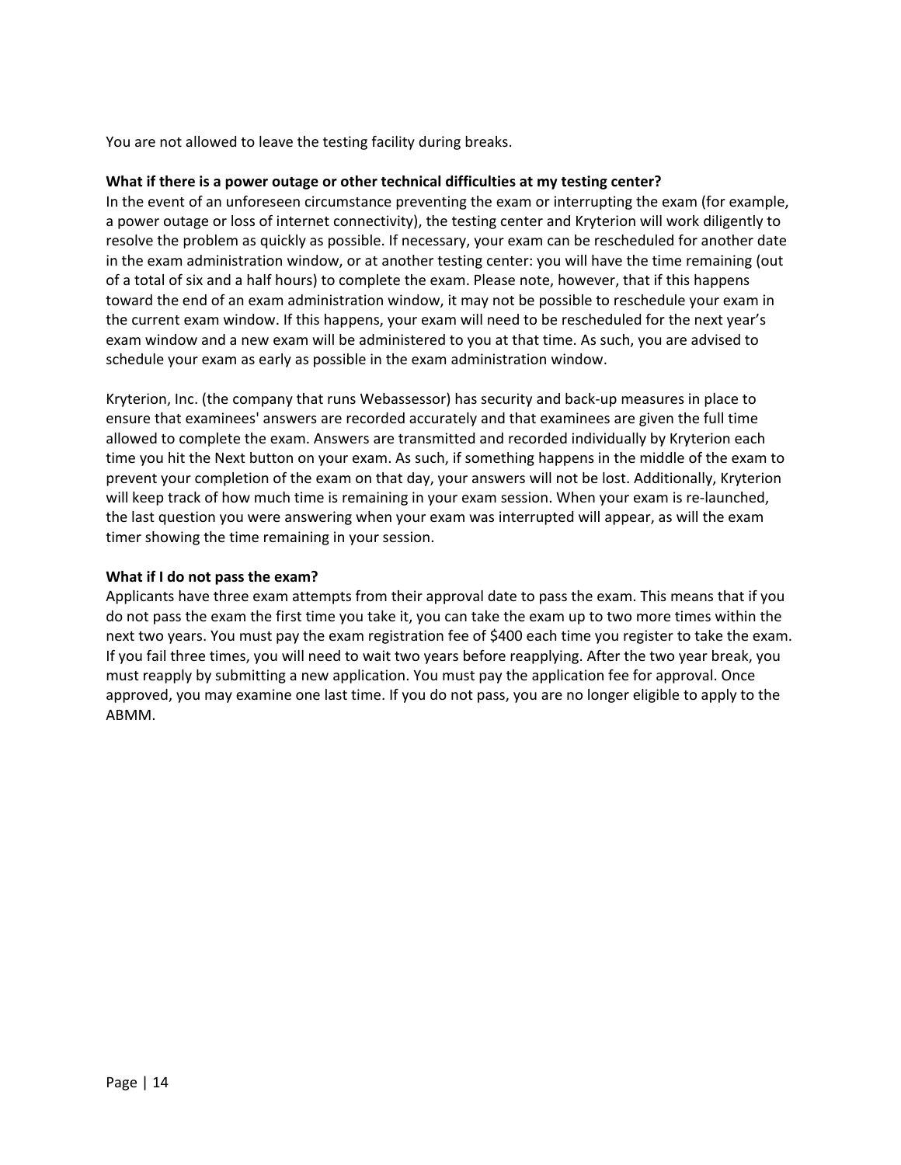You are not allowed to leave the testing facility during breaks.

#### **What if there is a power outage or other technical difficulties at my testing center?**

In the event of an unforeseen circumstance preventing the exam or interrupting the exam (for example, a power outage or loss of internet connectivity), the testing center and Kryterion will work diligently to resolve the problem as quickly as possible. If necessary, your exam can be rescheduled for another date in the exam administration window, or at another testing center: you will have the time remaining (out of a total of six and a half hours) to complete the exam. Please note, however, that if this happens toward the end of an exam administration window, it may not be possible to reschedule your exam in the current exam window. If this happens, your exam will need to be rescheduled for the next year's exam window and a new exam will be administered to you at that time. As such, you are advised to schedule your exam as early as possible in the exam administration window.

Kryterion, Inc. (the company that runs Webassessor) has security and back-up measures in place to ensure that examinees' answers are recorded accurately and that examinees are given the full time allowed to complete the exam. Answers are transmitted and recorded individually by Kryterion each time you hit the Next button on your exam. As such, if something happens in the middle of the exam to prevent your completion of the exam on that day, your answers will not be lost. Additionally, Kryterion will keep track of how much time is remaining in your exam session. When your exam is re-launched, the last question you were answering when your exam was interrupted will appear, as will the exam timer showing the time remaining in your session.

#### **What if I do not pass the exam?**

Applicants have three exam attempts from their approval date to pass the exam. This means that if you do not pass the exam the first time you take it, you can take the exam up to two more times within the next two years. You must pay the exam registration fee of \$400 each time you register to take the exam. If you fail three times, you will need to wait two years before reapplying. After the two year break, you must reapply by submitting a new application. You must pay the application fee for approval. Once approved, you may examine one last time. If you do not pass, you are no longer eligible to apply to the ABMM.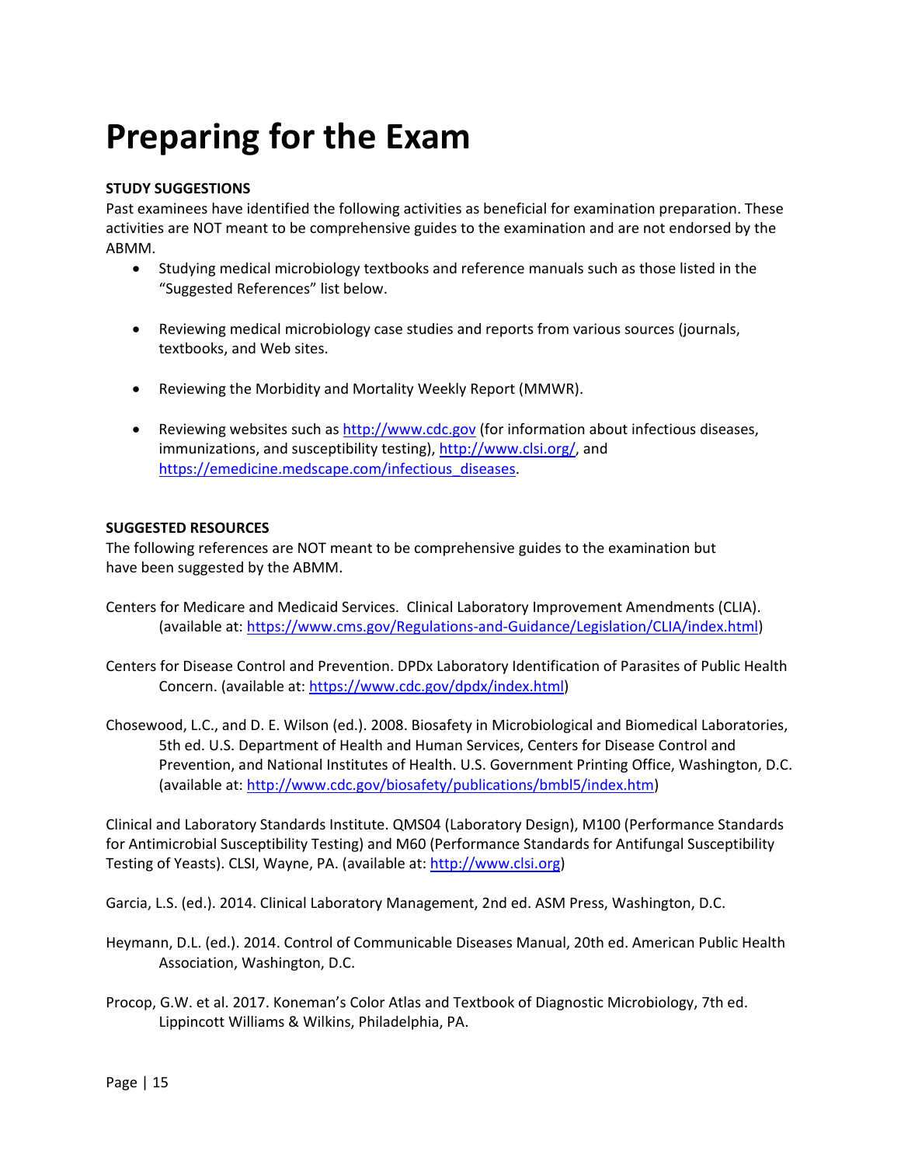## **Preparing for the Exam**

#### **STUDY SUGGESTIONS**

Past examinees have identified the following activities as beneficial for examination preparation. These activities are NOT meant to be comprehensive guides to the examination and are not endorsed by the ABMM.

- Studying medical microbiology textbooks and reference manuals such as those listed in the "Suggested References" list below.
- Reviewing medical microbiology case studies and reports from various sources (journals, textbooks, and Web sites.
- Reviewing the Morbidity and Mortality Weekly Report (MMWR).
- Reviewing websites such as [http://www.cdc.gov](http://www.cdc.gov/) (for information about infectious diseases, immunizations, and susceptibility testing)[, http://www.clsi.org/,](http://www.clsi.org/) and [https://emedicine.medscape.com/infectious\\_diseases.](https://emedicine.medscape.com/infectious_diseases)

#### **SUGGESTED RESOURCES**

The following references are NOT meant to be comprehensive guides to the examination but have been suggested by the ABMM.

- Centers for Medicare and Medicaid Services. Clinical Laboratory Improvement Amendments (CLIA). (available at: [https://www.cms.gov/Regulations-and-Guidance/Legislation/CLIA/index.html\)](https://www.cms.gov/Regulations-and-Guidance/Legislation/CLIA/index.html)
- Centers for Disease Control and Prevention. DPDx Laboratory Identification of Parasites of Public Health Concern. (available at: [https://www.cdc.gov/dpdx/index.html\)](https://www.cdc.gov/dpdx/index.html)
- Chosewood, L.C., and D. E. Wilson (ed.). 2008. Biosafety in Microbiological and Biomedical Laboratories, 5th ed. U.S. Department of Health and Human Services, Centers for Disease Control and Prevention, and National Institutes of Health. U.S. Government Printing Office, Washington, D.C. (available at: [http://www.cdc.gov/biosafety/publications/bmbl5/index.htm\)](http://www.cdc.gov/biosafety/publications/bmbl5/index.htm)

Clinical and Laboratory Standards Institute. QMS04 (Laboratory Design), M100 (Performance Standards for Antimicrobial Susceptibility Testing) and M60 (Performance Standards for Antifungal Susceptibility Testing of Yeasts). CLSI, Wayne, PA. (available at: [http://www.clsi.org\)](http://www.clsi.org/)

Garcia, L.S. (ed.). 2014. Clinical Laboratory Management, 2nd ed. ASM Press, Washington, D.C.

- Heymann, D.L. (ed.). 2014. Control of Communicable Diseases Manual, 20th ed. American Public Health Association, Washington, D.C.
- Procop, G.W. et al. 2017. Koneman's Color Atlas and Textbook of Diagnostic Microbiology, 7th ed. Lippincott Williams & Wilkins, Philadelphia, PA.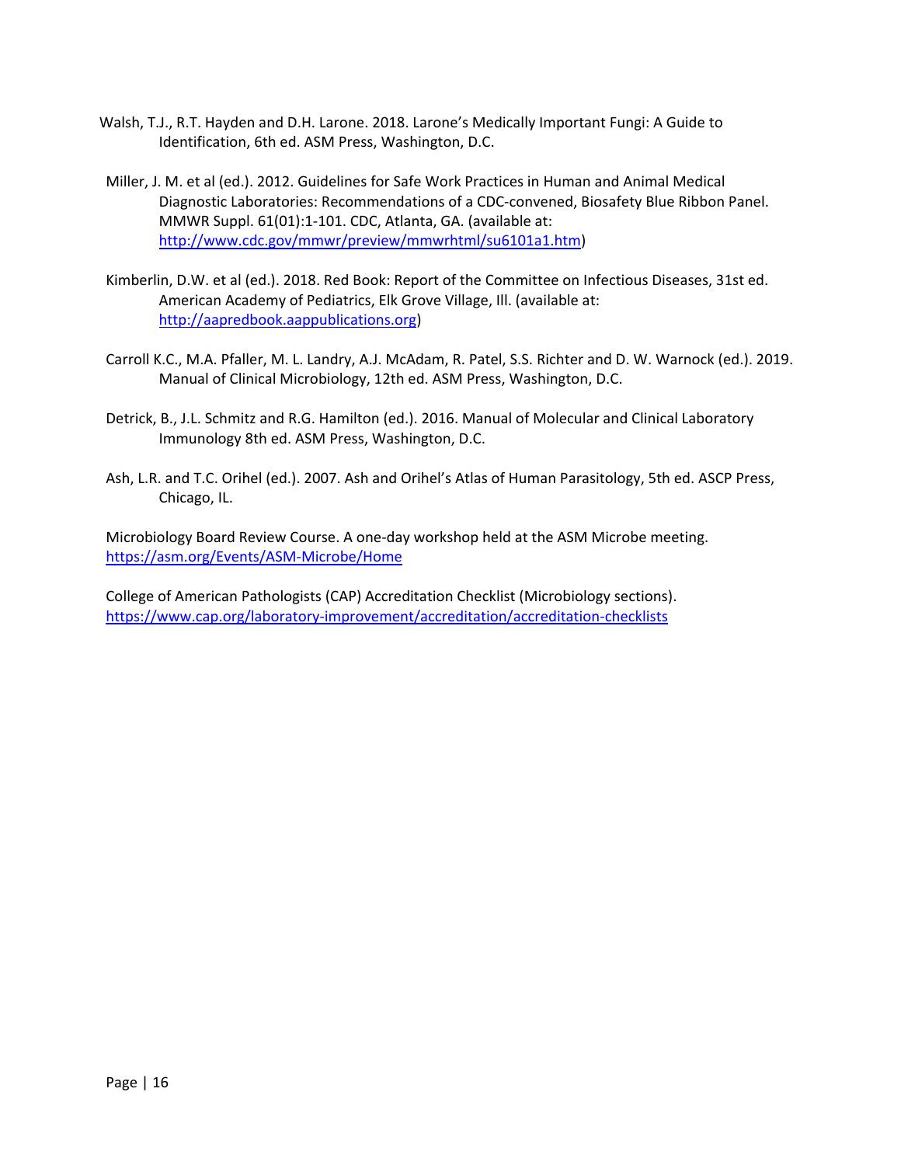- Walsh, T.J., R.T. Hayden and D.H. Larone. 2018. Larone's Medically Important Fungi: A Guide to Identification, 6th ed. ASM Press, Washington, D.C.
- Miller, J. M. et al (ed.). 2012. Guidelines for Safe Work Practices in Human and Animal Medical Diagnostic Laboratories: Recommendations of a CDC-convened, Biosafety Blue Ribbon Panel. MMWR Suppl. 61(01):1-101. CDC, Atlanta, GA. (available at: [http://www.cdc.gov/mmwr/preview/mmwrhtml/su6101a1.htm\)](http://www.cdc.gov/mmwr/preview/mmwrhtml/su6101a1.htm)
- Kimberlin, D.W. et al (ed.). 2018. Red Book: Report of the Committee on Infectious Diseases, 31st ed. American Academy of Pediatrics, Elk Grove Village, Ill. (available at: [http://aapredbook.aappublications.org\)](http://aapredbook.aappublications.org/)
- Carroll K.C., M.A. Pfaller, M. L. Landry, A.J. McAdam, R. Patel, S.S. Richter and D. W. Warnock (ed.). 2019. Manual of Clinical Microbiology, 12th ed. ASM Press, Washington, D.C.
- Detrick, B., J.L. Schmitz and R.G. Hamilton (ed.). 2016. Manual of Molecular and Clinical Laboratory Immunology 8th ed. ASM Press, Washington, D.C.
- Ash, L.R. and T.C. Orihel (ed.). 2007. Ash and Orihel's Atlas of Human Parasitology, 5th ed. ASCP Press, Chicago, IL.

Microbiology Board Review Course. A one-day workshop held at the ASM Microbe meeting. <https://asm.org/Events/ASM-Microbe/Home>

College of American Pathologists (CAP) Accreditation Checklist (Microbiology sections). <https://www.cap.org/laboratory-improvement/accreditation/accreditation-checklists>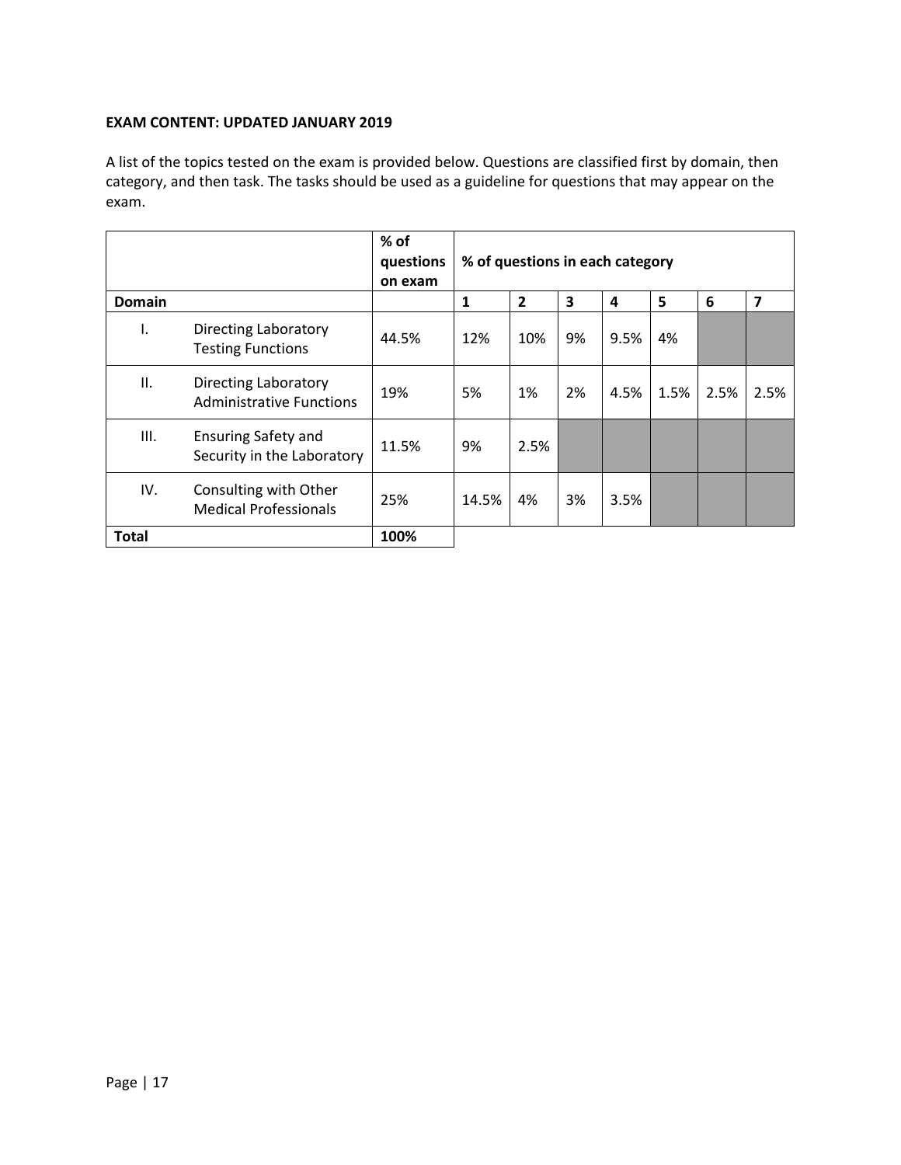#### **EXAM CONTENT: UPDATED JANUARY 2019**

A list of the topics tested on the exam is provided below. Questions are classified first by domain, then category, and then task. The tasks should be used as a guideline for questions that may appear on the exam.

|               |                                                                | % of<br>questions<br>on exam | % of questions in each category |                |    |      |      |      |                         |
|---------------|----------------------------------------------------------------|------------------------------|---------------------------------|----------------|----|------|------|------|-------------------------|
| <b>Domain</b> |                                                                |                              | 1                               | $\overline{2}$ | 3  | 4    | 5    | 6    | $\overline{\mathbf{z}}$ |
| I.            | Directing Laboratory<br><b>Testing Functions</b>               | 44.5%                        | 12%                             | 10%            | 9% | 9.5% | 4%   |      |                         |
| II.           | <b>Directing Laboratory</b><br><b>Administrative Functions</b> | 19%                          | 5%                              | 1%             | 2% | 4.5% | 1.5% | 2.5% | 2.5%                    |
| Ш.            | <b>Ensuring Safety and</b><br>Security in the Laboratory       | 11.5%                        | 9%                              | 2.5%           |    |      |      |      |                         |
| IV.           | Consulting with Other<br><b>Medical Professionals</b>          | 25%                          | 14.5%                           | 4%             | 3% | 3.5% |      |      |                         |
| <b>Total</b>  |                                                                | 100%                         |                                 |                |    |      |      |      |                         |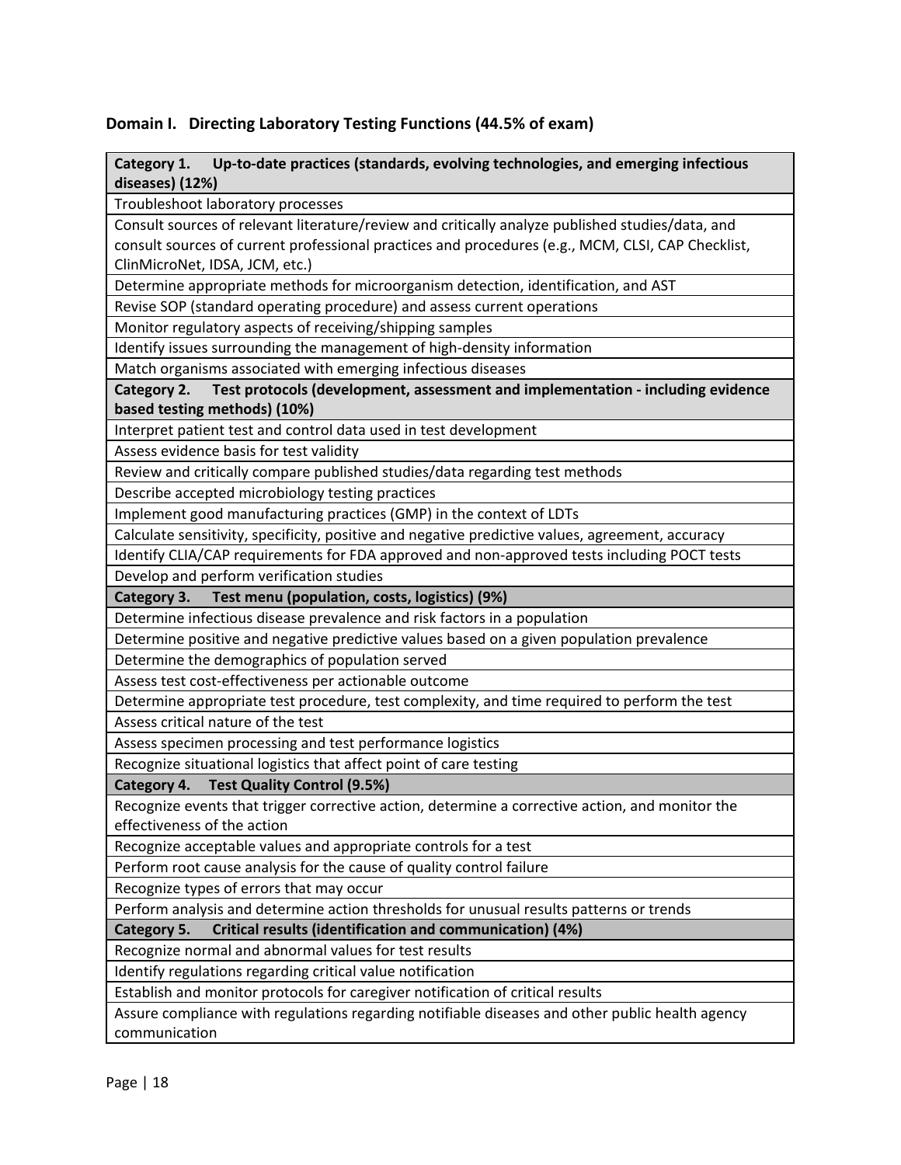#### **Domain I. Directing Laboratory Testing Functions (44.5% of exam)**

#### **Category 1. Up-to-date practices (standards, evolving technologies, and emerging infectious diseases) (12%)**

Troubleshoot laboratory processes

Consult sources of relevant literature/review and critically analyze published studies/data, and consult sources of current professional practices and procedures (e.g., MCM, CLSI, CAP Checklist, ClinMicroNet, IDSA, JCM, etc.)

Determine appropriate methods for microorganism detection, identification, and AST

Revise SOP (standard operating procedure) and assess current operations

Monitor regulatory aspects of receiving/shipping samples

Identify issues surrounding the management of high-density information

Match organisms associated with emerging infectious diseases

#### **Category 2. Test protocols (development, assessment and implementation - including evidence based testing methods) (10%)**

Interpret patient test and control data used in test development

Assess evidence basis for test validity

Review and critically compare published studies/data regarding test methods

Describe accepted microbiology testing practices

Implement good manufacturing practices (GMP) in the context of LDTs

Calculate sensitivity, specificity, positive and negative predictive values, agreement, accuracy

Identify CLIA/CAP requirements for FDA approved and non-approved tests including POCT tests

Develop and perform verification studies

**Category 3. Test menu (population, costs, logistics) (9%)**

Determine infectious disease prevalence and risk factors in a population

Determine positive and negative predictive values based on a given population prevalence

Determine the demographics of population served

Assess test cost-effectiveness per actionable outcome

Determine appropriate test procedure, test complexity, and time required to perform the test

Assess critical nature of the test

Assess specimen processing and test performance logistics

Recognize situational logistics that affect point of care testing

**Category 4. Test Quality Control (9.5%)**

Recognize events that trigger corrective action, determine a corrective action, and monitor the effectiveness of the action

Recognize acceptable values and appropriate controls for a test

Perform root cause analysis for the cause of quality control failure

Recognize types of errors that may occur

Perform analysis and determine action thresholds for unusual results patterns or trends

**Category 5. Critical results (identification and communication) (4%)**

Recognize normal and abnormal values for test results

Identify regulations regarding critical value notification

Establish and monitor protocols for caregiver notification of critical results

Assure compliance with regulations regarding notifiable diseases and other public health agency communication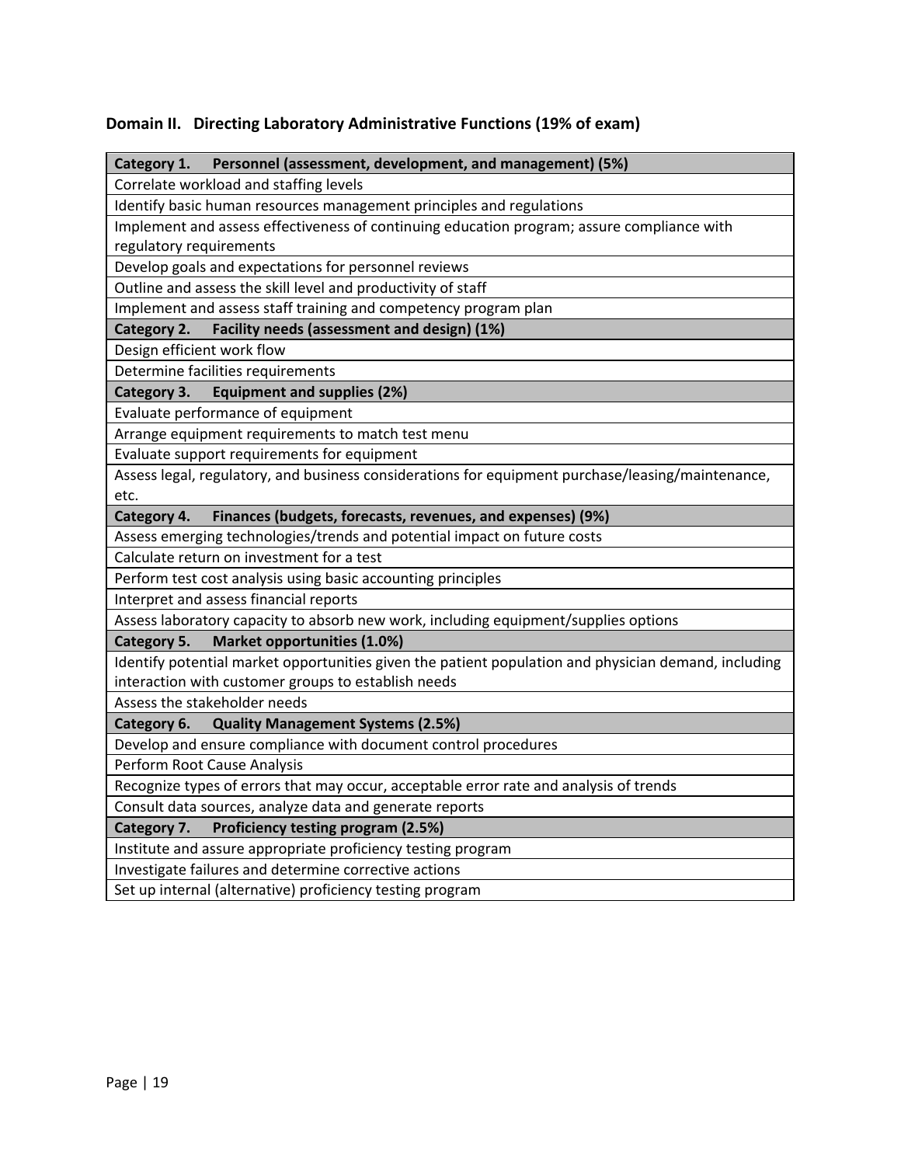### **Domain II. Directing Laboratory Administrative Functions (19% of exam)**

| Personnel (assessment, development, and management) (5%)<br>Category 1.                              |  |  |  |  |  |
|------------------------------------------------------------------------------------------------------|--|--|--|--|--|
| Correlate workload and staffing levels                                                               |  |  |  |  |  |
| Identify basic human resources management principles and regulations                                 |  |  |  |  |  |
| Implement and assess effectiveness of continuing education program; assure compliance with           |  |  |  |  |  |
| regulatory requirements                                                                              |  |  |  |  |  |
| Develop goals and expectations for personnel reviews                                                 |  |  |  |  |  |
| Outline and assess the skill level and productivity of staff                                         |  |  |  |  |  |
| Implement and assess staff training and competency program plan                                      |  |  |  |  |  |
| Facility needs (assessment and design) (1%)<br>Category 2.                                           |  |  |  |  |  |
| Design efficient work flow                                                                           |  |  |  |  |  |
| Determine facilities requirements                                                                    |  |  |  |  |  |
| <b>Equipment and supplies (2%)</b><br>Category 3.                                                    |  |  |  |  |  |
| Evaluate performance of equipment                                                                    |  |  |  |  |  |
| Arrange equipment requirements to match test menu                                                    |  |  |  |  |  |
| Evaluate support requirements for equipment                                                          |  |  |  |  |  |
| Assess legal, regulatory, and business considerations for equipment purchase/leasing/maintenance,    |  |  |  |  |  |
| etc.                                                                                                 |  |  |  |  |  |
| Category 4.<br>Finances (budgets, forecasts, revenues, and expenses) (9%)                            |  |  |  |  |  |
| Assess emerging technologies/trends and potential impact on future costs                             |  |  |  |  |  |
| Calculate return on investment for a test                                                            |  |  |  |  |  |
| Perform test cost analysis using basic accounting principles                                         |  |  |  |  |  |
| Interpret and assess financial reports                                                               |  |  |  |  |  |
| Assess laboratory capacity to absorb new work, including equipment/supplies options                  |  |  |  |  |  |
| Market opportunities (1.0%)<br>Category 5.                                                           |  |  |  |  |  |
| Identify potential market opportunities given the patient population and physician demand, including |  |  |  |  |  |
| interaction with customer groups to establish needs                                                  |  |  |  |  |  |
| Assess the stakeholder needs                                                                         |  |  |  |  |  |
| Category 6.<br><b>Quality Management Systems (2.5%)</b>                                              |  |  |  |  |  |
| Develop and ensure compliance with document control procedures                                       |  |  |  |  |  |
| Perform Root Cause Analysis                                                                          |  |  |  |  |  |
| Recognize types of errors that may occur, acceptable error rate and analysis of trends               |  |  |  |  |  |
| Consult data sources, analyze data and generate reports                                              |  |  |  |  |  |
| Proficiency testing program (2.5%)<br>Category 7.                                                    |  |  |  |  |  |
| Institute and assure appropriate proficiency testing program                                         |  |  |  |  |  |
| Investigate failures and determine corrective actions                                                |  |  |  |  |  |
| Set up internal (alternative) proficiency testing program                                            |  |  |  |  |  |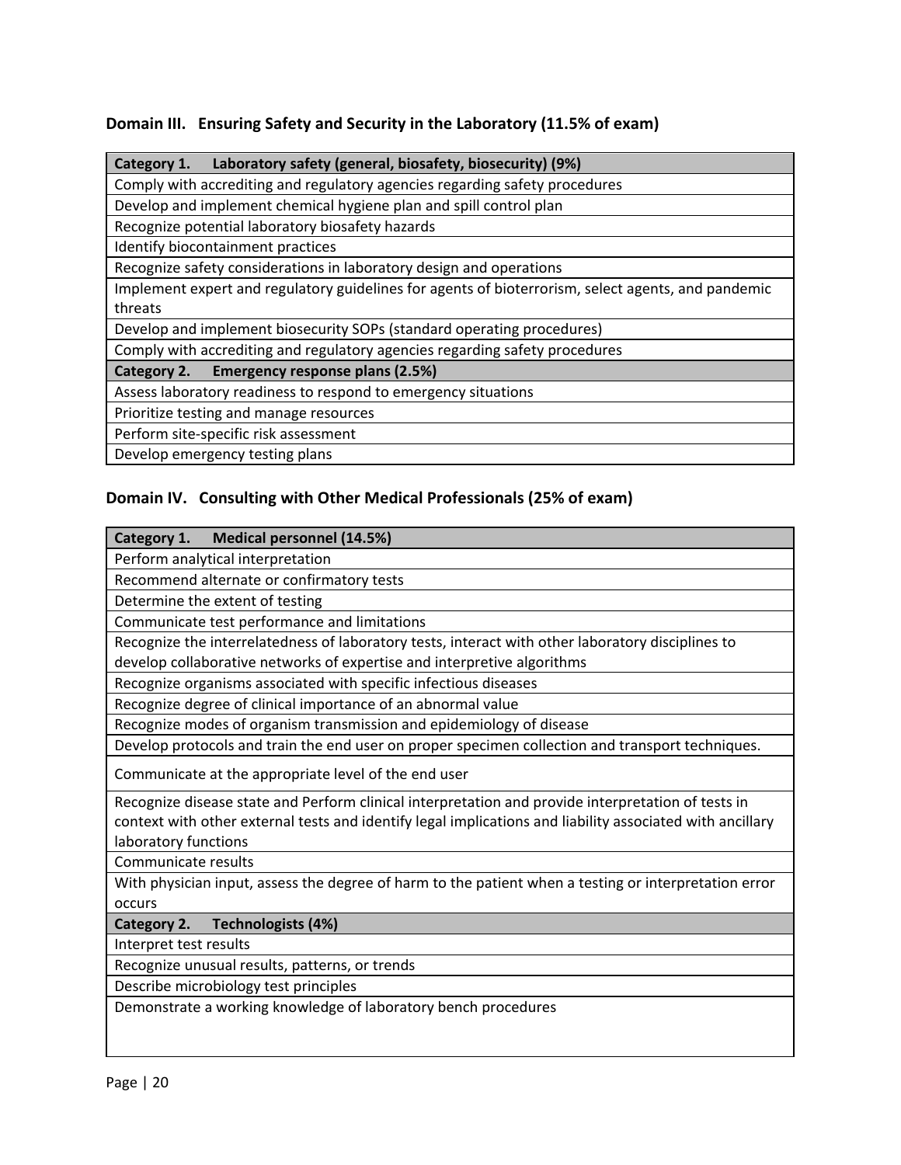### **Domain III. Ensuring Safety and Security in the Laboratory (11.5% of exam)**

| Laboratory safety (general, biosafety, biosecurity) (9%)<br>Category 1.                            |  |  |  |  |  |
|----------------------------------------------------------------------------------------------------|--|--|--|--|--|
| Comply with accrediting and regulatory agencies regarding safety procedures                        |  |  |  |  |  |
| Develop and implement chemical hygiene plan and spill control plan                                 |  |  |  |  |  |
| Recognize potential laboratory biosafety hazards                                                   |  |  |  |  |  |
| Identify biocontainment practices                                                                  |  |  |  |  |  |
| Recognize safety considerations in laboratory design and operations                                |  |  |  |  |  |
| Implement expert and regulatory guidelines for agents of bioterrorism, select agents, and pandemic |  |  |  |  |  |
| threats                                                                                            |  |  |  |  |  |
| Develop and implement biosecurity SOPs (standard operating procedures)                             |  |  |  |  |  |
| Comply with accrediting and regulatory agencies regarding safety procedures                        |  |  |  |  |  |
| Emergency response plans (2.5%)<br>Category 2.                                                     |  |  |  |  |  |
| Assess laboratory readiness to respond to emergency situations                                     |  |  |  |  |  |
| Prioritize testing and manage resources                                                            |  |  |  |  |  |
| Perform site-specific risk assessment                                                              |  |  |  |  |  |
| Develop emergency testing plans                                                                    |  |  |  |  |  |

## **Domain IV. Consulting with Other Medical Professionals (25% of exam)**

| Medical personnel (14.5%)<br>Category 1.                                                                  |  |  |  |  |
|-----------------------------------------------------------------------------------------------------------|--|--|--|--|
| Perform analytical interpretation                                                                         |  |  |  |  |
| Recommend alternate or confirmatory tests                                                                 |  |  |  |  |
| Determine the extent of testing                                                                           |  |  |  |  |
| Communicate test performance and limitations                                                              |  |  |  |  |
| Recognize the interrelatedness of laboratory tests, interact with other laboratory disciplines to         |  |  |  |  |
| develop collaborative networks of expertise and interpretive algorithms                                   |  |  |  |  |
| Recognize organisms associated with specific infectious diseases                                          |  |  |  |  |
| Recognize degree of clinical importance of an abnormal value                                              |  |  |  |  |
| Recognize modes of organism transmission and epidemiology of disease                                      |  |  |  |  |
| Develop protocols and train the end user on proper specimen collection and transport techniques.          |  |  |  |  |
| Communicate at the appropriate level of the end user                                                      |  |  |  |  |
| Recognize disease state and Perform clinical interpretation and provide interpretation of tests in        |  |  |  |  |
| context with other external tests and identify legal implications and liability associated with ancillary |  |  |  |  |
| laboratory functions                                                                                      |  |  |  |  |
| Communicate results                                                                                       |  |  |  |  |
| With physician input, assess the degree of harm to the patient when a testing or interpretation error     |  |  |  |  |
| occurs                                                                                                    |  |  |  |  |
| Technologists (4%)<br>Category 2.                                                                         |  |  |  |  |
| Interpret test results                                                                                    |  |  |  |  |
| Recognize unusual results, patterns, or trends                                                            |  |  |  |  |
| Describe microbiology test principles                                                                     |  |  |  |  |
| Demonstrate a working knowledge of laboratory bench procedures                                            |  |  |  |  |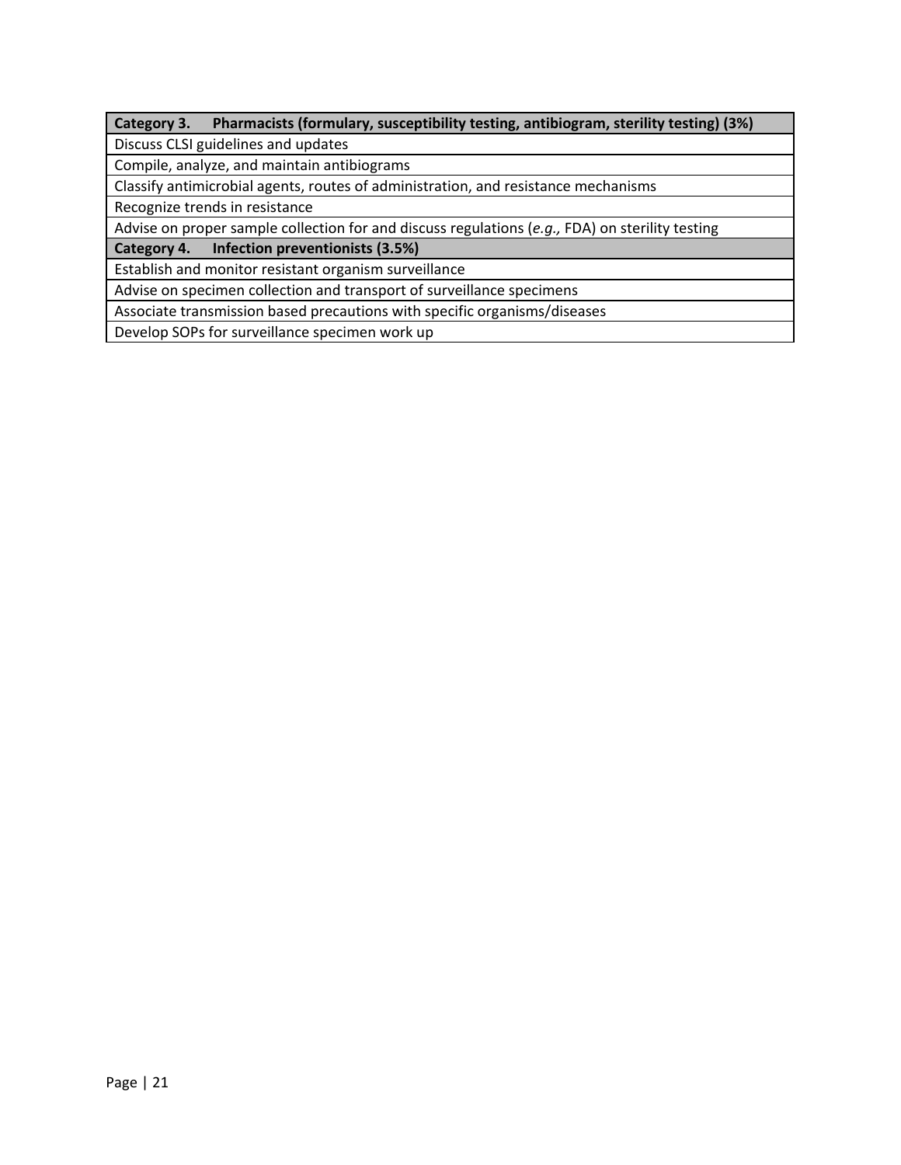### **Category 3. Pharmacists (formulary, susceptibility testing, antibiogram, sterility testing) (3%)**

Discuss CLSI guidelines and updates

Compile, analyze, and maintain antibiograms

Classify antimicrobial agents, routes of administration, and resistance mechanisms

Recognize trends in resistance

Advise on proper sample collection for and discuss regulations (*e.g.,* FDA) on sterility testing

**Category 4. Infection preventionists (3.5%)**

Establish and monitor resistant organism surveillance

Advise on specimen collection and transport of surveillance specimens

Associate transmission based precautions with specific organisms/diseases

Develop SOPs for surveillance specimen work up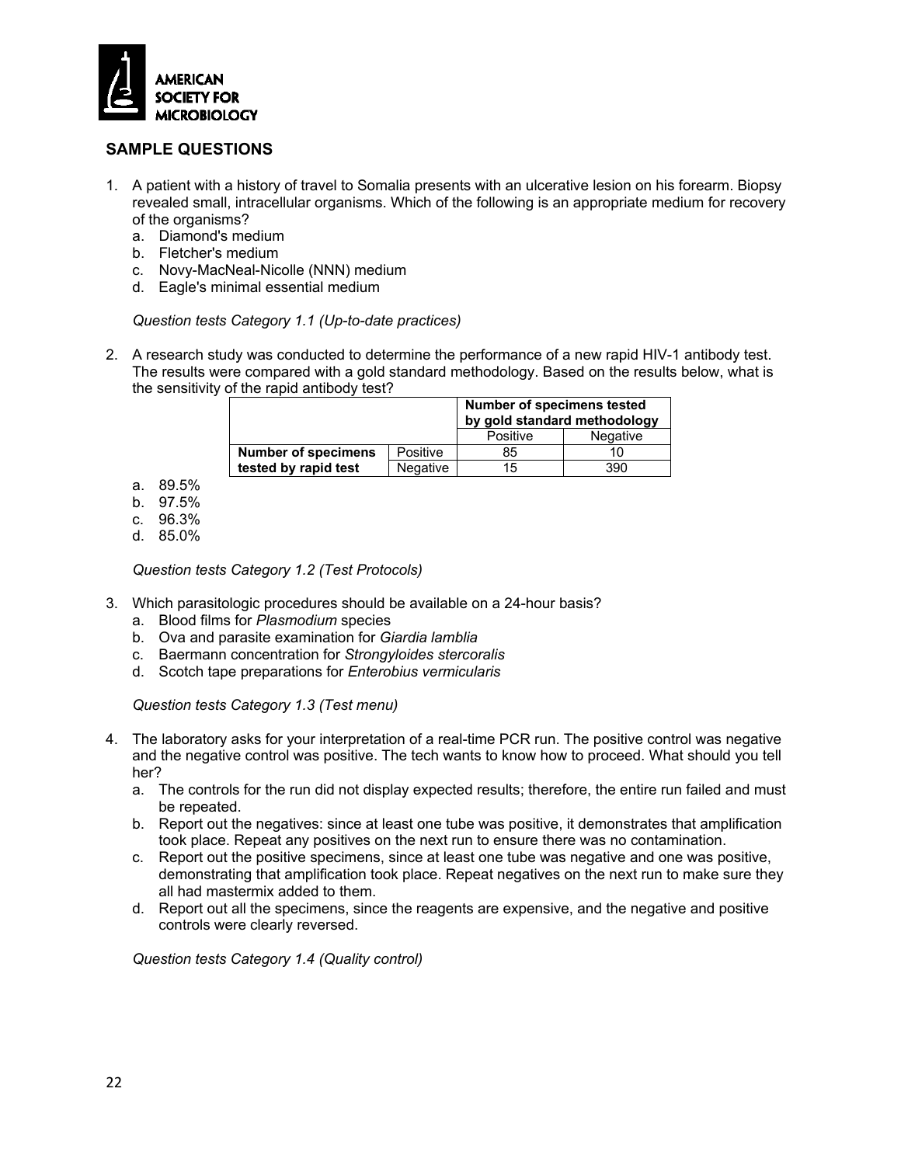

#### **SAMPLE QUESTIONS**

- 1. A patient with a history of travel to Somalia presents with an ulcerative lesion on his forearm. Biopsy revealed small, intracellular organisms. Which of the following is an appropriate medium for recovery of the organisms?
	- a. Diamond's medium
	- b. Fletcher's medium
	- c. Novy-MacNeal-Nicolle (NNN) medium
	- d. Eagle's minimal essential medium

*Question tests Category 1.1 (Up-to-date practices)*

2. A research study was conducted to determine the performance of a new rapid HIV-1 antibody test. The results were compared with a gold standard methodology. Based on the results below, what is the sensitivity of the rapid antibody test?

|                            |                 | <b>Number of specimens tested</b><br>by gold standard methodology |          |  |  |
|----------------------------|-----------------|-------------------------------------------------------------------|----------|--|--|
|                            |                 | Positive                                                          | Negative |  |  |
| <b>Number of specimens</b> | Positive        | 85                                                                |          |  |  |
| tested by rapid test       | <b>Negative</b> | 15                                                                | 390      |  |  |

- a. 89.5%
- b. 97.5%
- c. 96.3%
- d. 85.0%

*Question tests Category 1.2 (Test Protocols)*

- 3. Which parasitologic procedures should be available on a 24-hour basis?
	- a. Blood films for *Plasmodium* species
	- b. Ova and parasite examination for *Giardia lamblia*
	- c. Baermann concentration for *Strongyloides stercoralis*
	- d. Scotch tape preparations for *Enterobius vermicularis*

*Question tests Category 1.3 (Test menu)*

- 4. The laboratory asks for your interpretation of a real-time PCR run. The positive control was negative and the negative control was positive. The tech wants to know how to proceed. What should you tell her?
	- a. The controls for the run did not display expected results; therefore, the entire run failed and must be repeated.
	- b. Report out the negatives: since at least one tube was positive, it demonstrates that amplification took place. Repeat any positives on the next run to ensure there was no contamination.
	- c. Report out the positive specimens, since at least one tube was negative and one was positive, demonstrating that amplification took place. Repeat negatives on the next run to make sure they all had mastermix added to them.
	- d. Report out all the specimens, since the reagents are expensive, and the negative and positive controls were clearly reversed.

*Question tests Category 1.4 (Quality control)*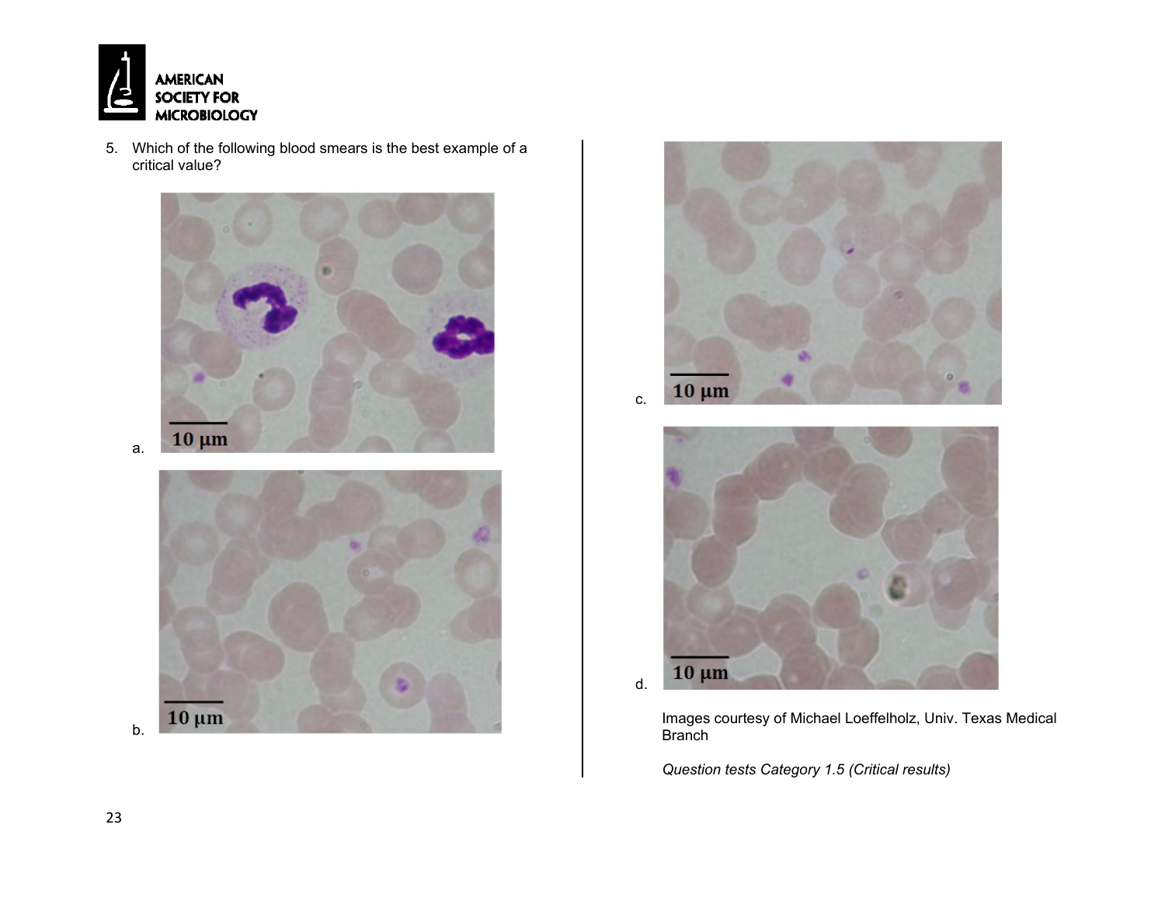

5. Which of the following blood smears is the best example of a critical value?



 $10 \mu m$ 

c.



Images courtesy of Michael Loeffelholz, Univ. Texas Medical Branch

*Question tests Category 1.5 (Critical results)*

23

b.

 $10 \mu m$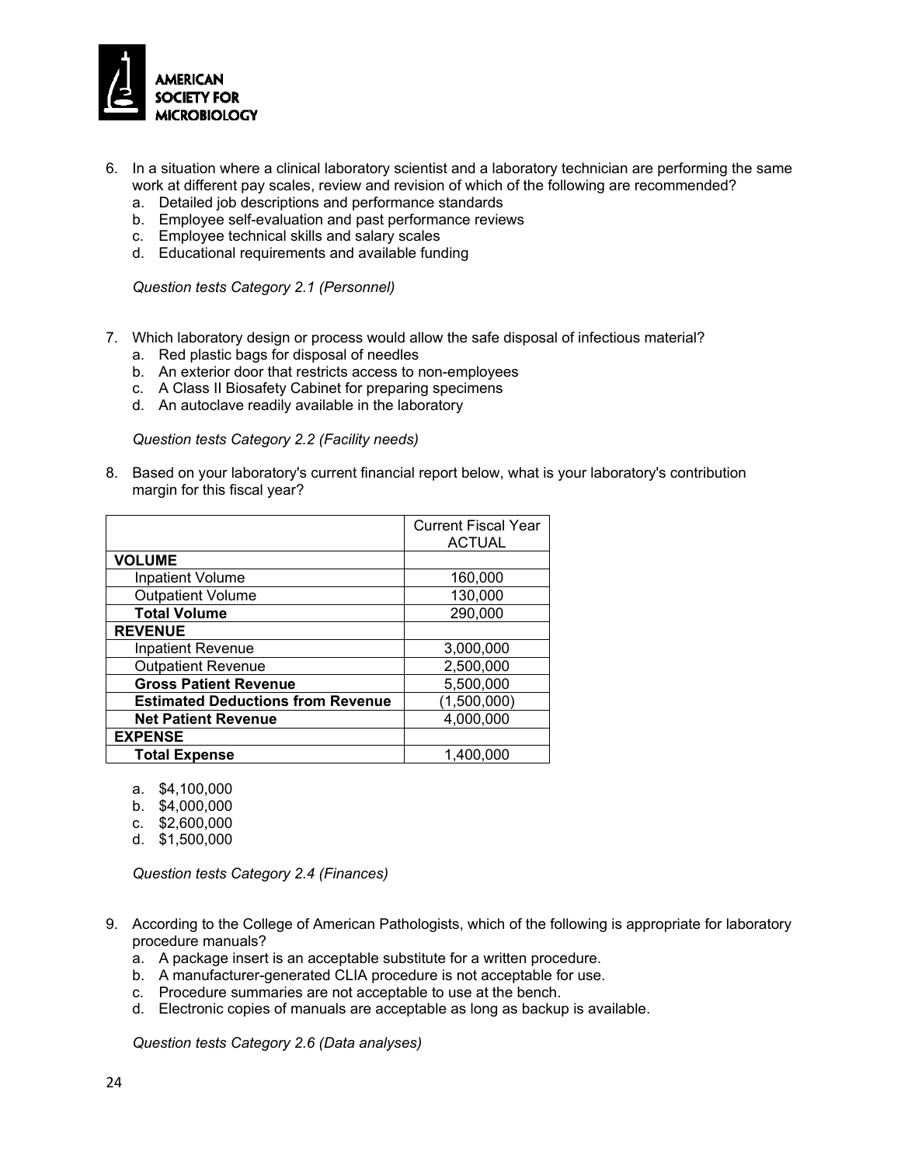

- 6. In a situation where a clinical laboratory scientist and a laboratory technician are performing the same work at different pay scales, review and revision of which of the following are recommended?
	- a. Detailed job descriptions and performance standards
	- b. Employee self-evaluation and past performance reviews
	- c. Employee technical skills and salary scales
	- d. Educational requirements and available funding

*Question tests Category 2.1 (Personnel)*

- 7. Which laboratory design or process would allow the safe disposal of infectious material?
	- a. Red plastic bags for disposal of needles
	- b. An exterior door that restricts access to non-employees
	- c. A Class II Biosafety Cabinet for preparing specimens
	- d. An autoclave readily available in the laboratory

*Question tests Category 2.2 (Facility needs)*

8. Based on your laboratory's current financial report below, what is your laboratory's contribution margin for this fiscal year?

|                                          | <b>Current Fiscal Year</b> |
|------------------------------------------|----------------------------|
|                                          | <b>ACTUAL</b>              |
| <b>VOLUME</b>                            |                            |
| <b>Inpatient Volume</b>                  | 160,000                    |
| <b>Outpatient Volume</b>                 | 130,000                    |
| <b>Total Volume</b>                      | 290,000                    |
| <b>REVENUE</b>                           |                            |
| <b>Inpatient Revenue</b>                 | 3,000,000                  |
| <b>Outpatient Revenue</b>                | 2,500,000                  |
| <b>Gross Patient Revenue</b>             | 5,500,000                  |
| <b>Estimated Deductions from Revenue</b> | (1,500,000)                |
| <b>Net Patient Revenue</b>               | 4,000,000                  |
| <b>EXPENSE</b>                           |                            |
| <b>Total Expense</b>                     | 1,400,000                  |

- a. \$4,100,000
- b. \$4,000,000
- c. \$2,600,000
- d. \$1,500,000

*Question tests Category 2.4 (Finances)*

- 9. According to the College of American Pathologists, which of the following is appropriate for laboratory procedure manuals?
	- a. A package insert is an acceptable substitute for a written procedure.
	- b. A manufacturer-generated CLIA procedure is not acceptable for use.
	- c. Procedure summaries are not acceptable to use at the bench.
	- d. Electronic copies of manuals are acceptable as long as backup is available.

*Question tests Category 2.6 (Data analyses)*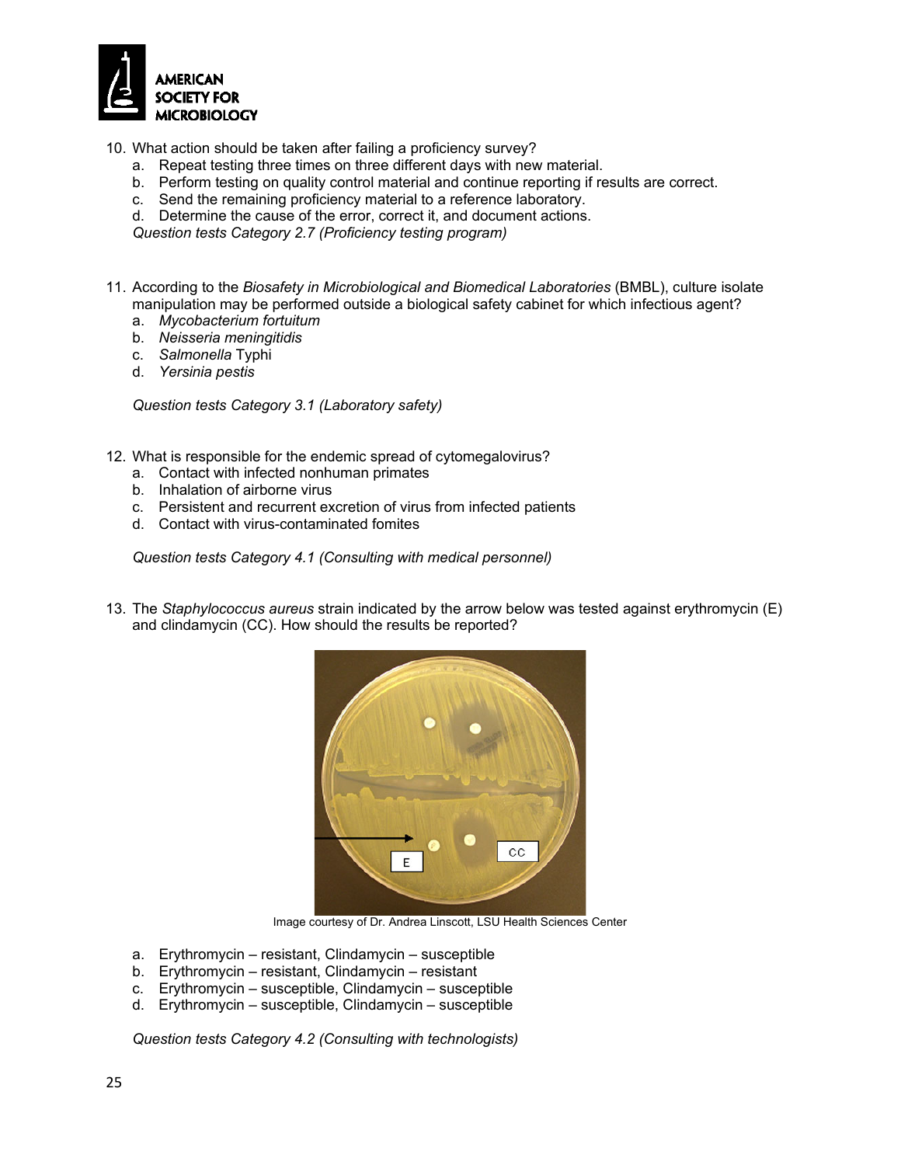

10. What action should be taken after failing a proficiency survey?

- a. Repeat testing three times on three different days with new material.
- b. Perform testing on quality control material and continue reporting if results are correct.
- c. Send the remaining proficiency material to a reference laboratory.
- d. Determine the cause of the error, correct it, and document actions.

*Question tests Category 2.7 (Proficiency testing program)*

- 11. According to the *Biosafety in Microbiological and Biomedical Laboratories* (BMBL), culture isolate manipulation may be performed outside a biological safety cabinet for which infectious agent?
	- a. *Mycobacterium fortuitum*
	- b. *Neisseria meningitidis*
	- c. *Salmonella* Typhi
	- d. *Yersinia pestis*

*Question tests Category 3.1 (Laboratory safety)*

- 12. What is responsible for the endemic spread of cytomegalovirus?
	- a. Contact with infected nonhuman primates
	- b. Inhalation of airborne virus
	- c. Persistent and recurrent excretion of virus from infected patients
	- d. Contact with virus-contaminated fomites

*Question tests Category 4.1 (Consulting with medical personnel)*

13. The *Staphylococcus aureus* strain indicated by the arrow below was tested against erythromycin (E) and clindamycin (CC). How should the results be reported?



Image courtesy of Dr. Andrea Linscott, LSU Health Sciences Center

- a. Erythromycin resistant, Clindamycin susceptible
- b. Erythromycin resistant, Clindamycin resistant
- c. Erythromycin susceptible, Clindamycin susceptible
- d. Erythromycin susceptible, Clindamycin susceptible

*Question tests Category 4.2 (Consulting with technologists)*